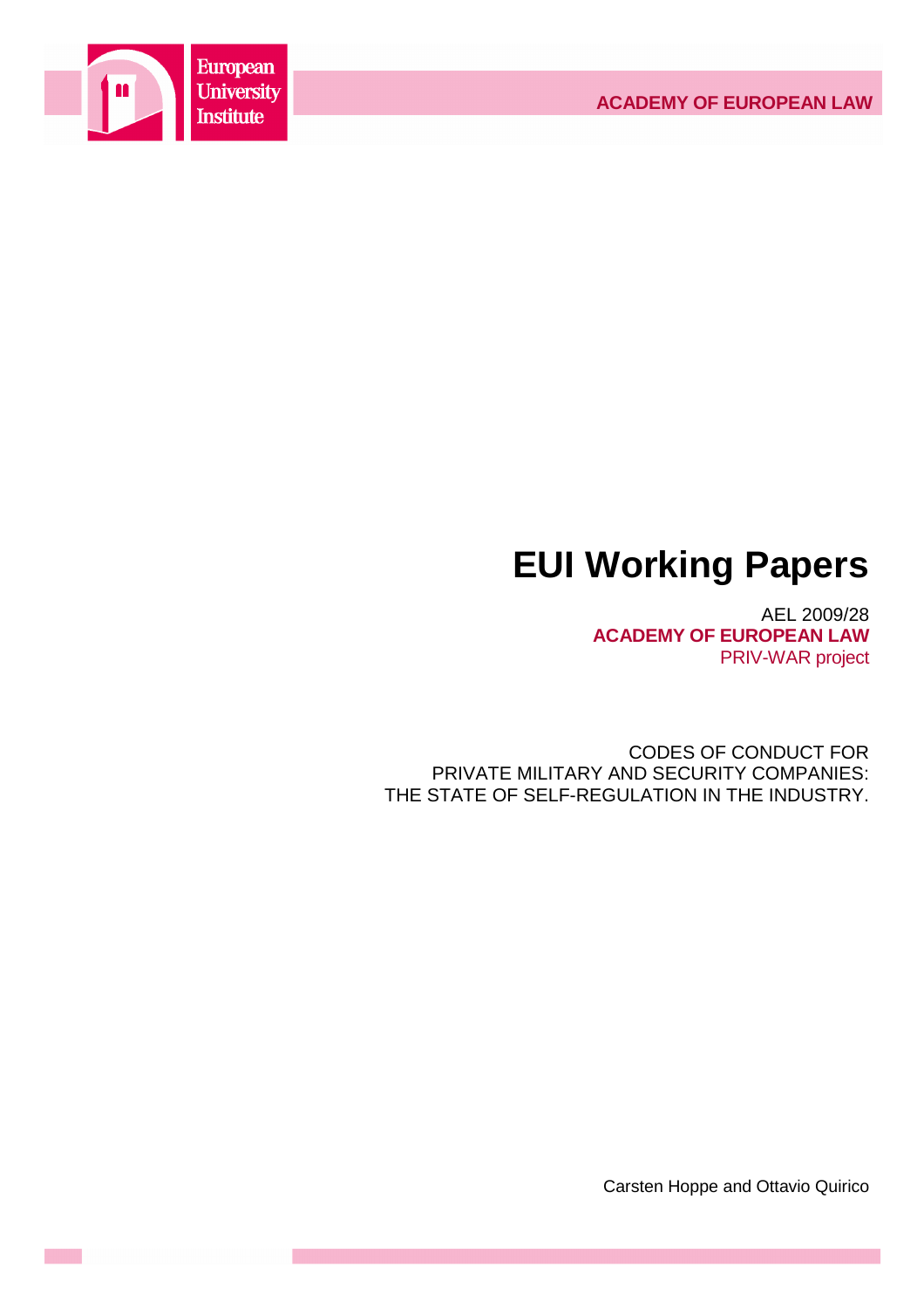

# **EUI Working Papers**

AEL 2009/28 **ACADEMY OF EUROPEAN LAW** PRIV-WAR project

CODES OF CONDUCT FOR PRIVATE MILITARY AND SECURITY COMPANIES: THE STATE OF SELF-REGULATION IN THE INDUSTRY.

Carsten Hoppe and Ottavio Quirico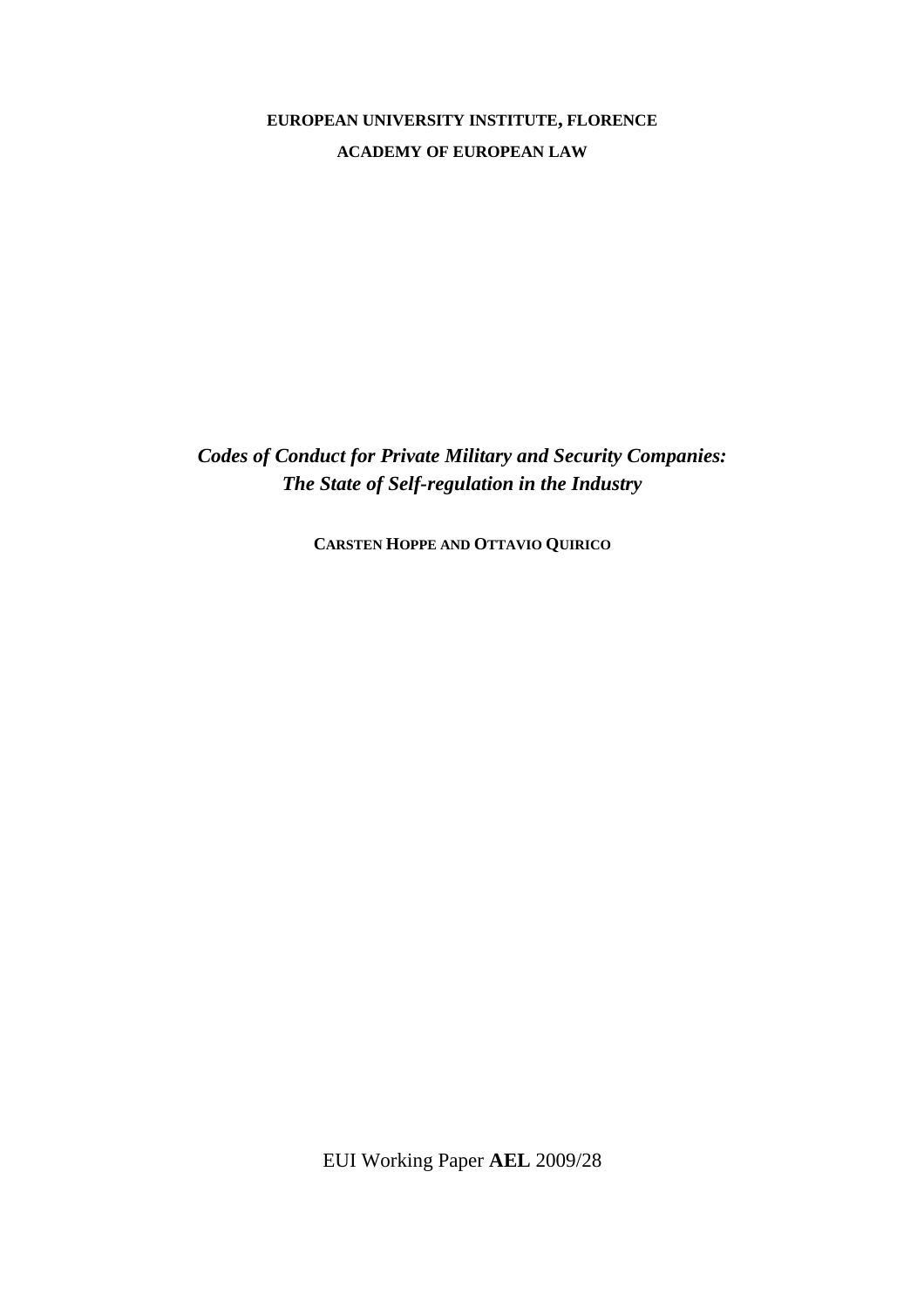## **EUROPEAN UNIVERSITY INSTITUTE, FLORENCE ACADEMY OF EUROPEAN LAW**

*Codes of Conduct for Private Military and Security Companies: The State of Self-regulation in the Industry* 

**CARSTEN HOPPE AND OTTAVIO QUIRICO**

EUI Working Paper **AEL** 2009/28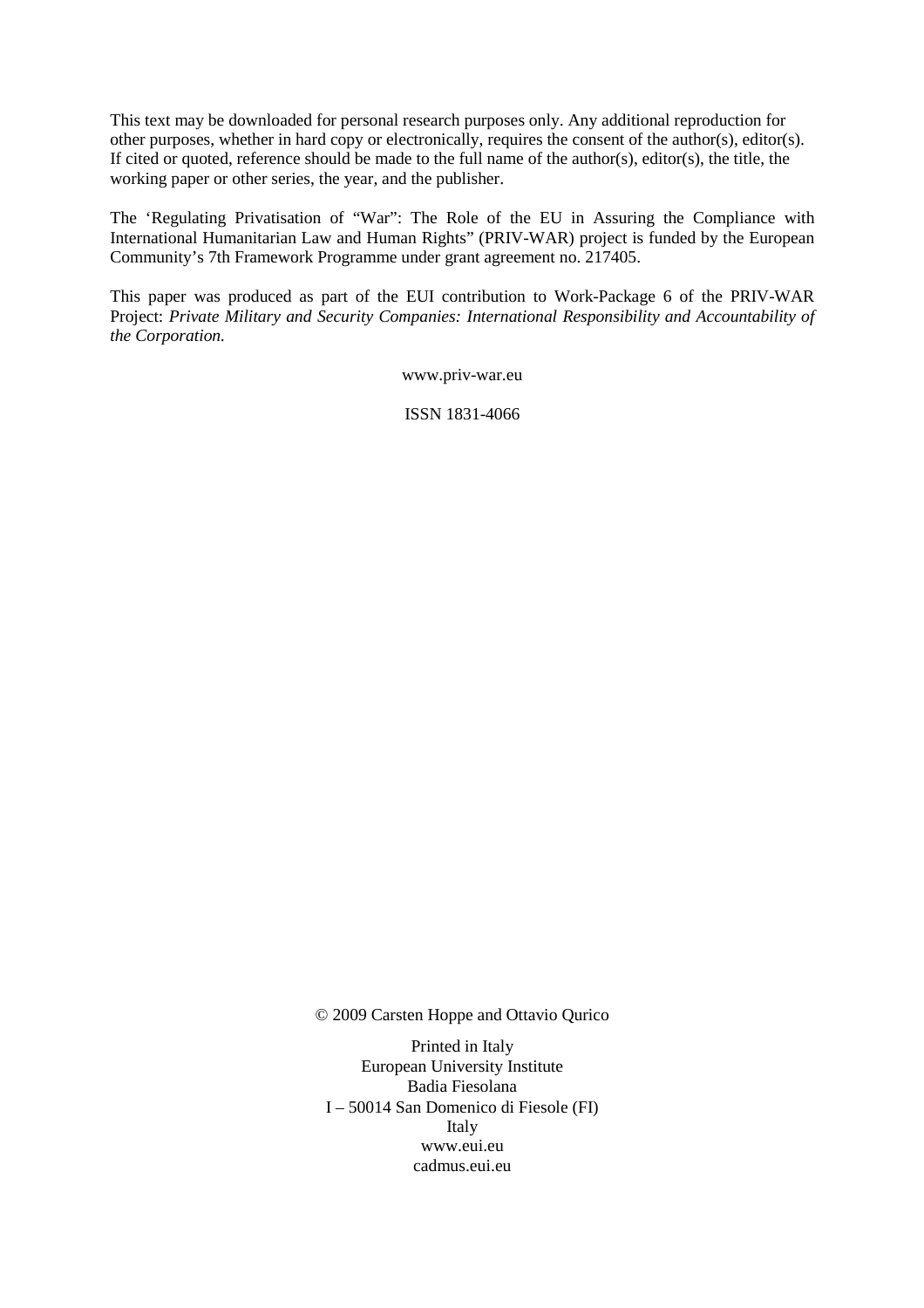This text may be downloaded for personal research purposes only. Any additional reproduction for other purposes, whether in hard copy or electronically, requires the consent of the author(s), editor(s). If cited or quoted, reference should be made to the full name of the author(s), editor(s), the title, the working paper or other series, the year, and the publisher.

The 'Regulating Privatisation of "War": The Role of the EU in Assuring the Compliance with International Humanitarian Law and Human Rights" (PRIV-WAR) project is funded by the European Community's 7th Framework Programme under grant agreement no. 217405.

This paper was produced as part of the EUI contribution to Work-Package 6 of the PRIV-WAR Project: *Private Military and Security Companies: International Responsibility and Accountability of the Corporation.* 

www.priv-war.eu

ISSN 1831-4066

© 2009 Carsten Hoppe and Ottavio Qurico

Printed in Italy European University Institute Badia Fiesolana I – 50014 San Domenico di Fiesole (FI) Italy www.eui.eu cadmus.eui.eu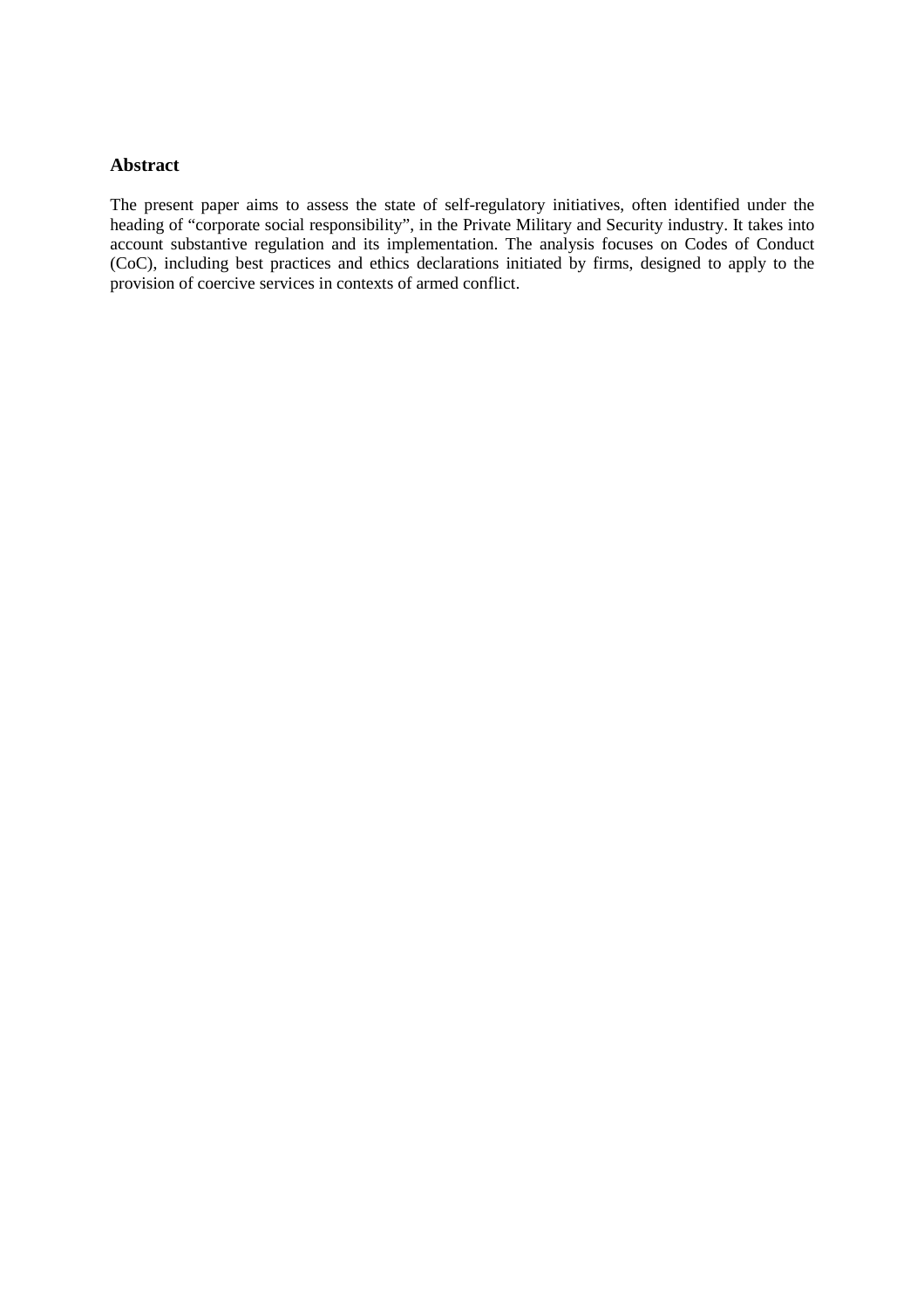#### **Abstract**

The present paper aims to assess the state of self-regulatory initiatives, often identified under the heading of "corporate social responsibility", in the Private Military and Security industry. It takes into account substantive regulation and its implementation. The analysis focuses on Codes of Conduct (CoC), including best practices and ethics declarations initiated by firms, designed to apply to the provision of coercive services in contexts of armed conflict.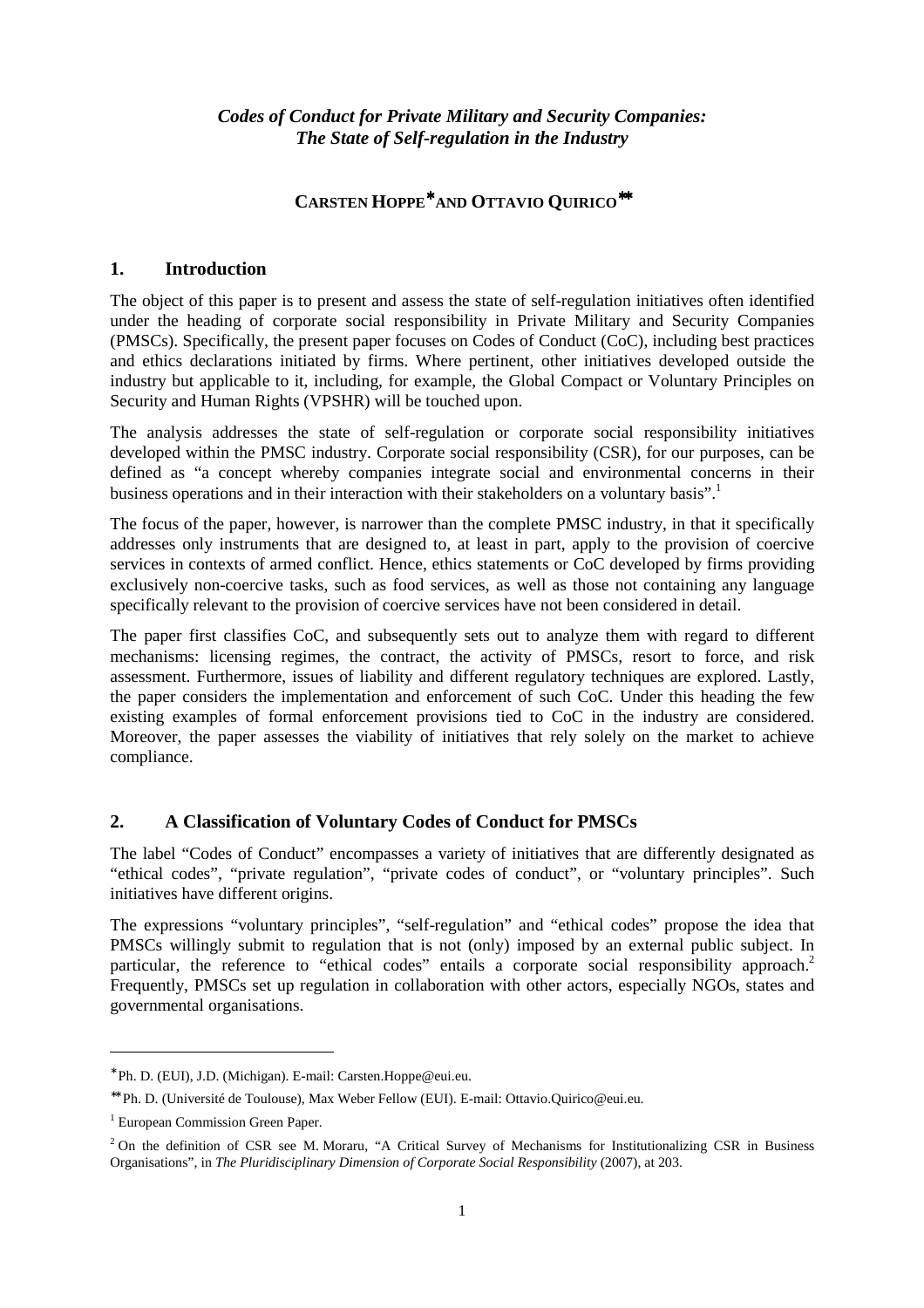## *Codes of Conduct for Private Military and Security Companies: The State of Self-regulation in the Industry*

## **CARSTEN HOPPE**∗ **AND OTTAVIO QUIRICO**∗∗

#### **1. Introduction**

The object of this paper is to present and assess the state of self-regulation initiatives often identified under the heading of corporate social responsibility in Private Military and Security Companies (PMSCs). Specifically, the present paper focuses on Codes of Conduct (CoC), including best practices and ethics declarations initiated by firms. Where pertinent, other initiatives developed outside the industry but applicable to it, including, for example, the Global Compact or Voluntary Principles on Security and Human Rights (VPSHR) will be touched upon.

The analysis addresses the state of self-regulation or corporate social responsibility initiatives developed within the PMSC industry. Corporate social responsibility (CSR), for our purposes, can be defined as "a concept whereby companies integrate social and environmental concerns in their business operations and in their interaction with their stakeholders on a voluntary basis".

The focus of the paper, however, is narrower than the complete PMSC industry, in that it specifically addresses only instruments that are designed to, at least in part, apply to the provision of coercive services in contexts of armed conflict. Hence, ethics statements or CoC developed by firms providing exclusively non-coercive tasks, such as food services, as well as those not containing any language specifically relevant to the provision of coercive services have not been considered in detail.

The paper first classifies CoC, and subsequently sets out to analyze them with regard to different mechanisms: licensing regimes, the contract, the activity of PMSCs, resort to force, and risk assessment. Furthermore, issues of liability and different regulatory techniques are explored. Lastly, the paper considers the implementation and enforcement of such CoC. Under this heading the few existing examples of formal enforcement provisions tied to CoC in the industry are considered. Moreover, the paper assesses the viability of initiatives that rely solely on the market to achieve compliance.

## **2. A Classification of Voluntary Codes of Conduct for PMSCs**

The label "Codes of Conduct" encompasses a variety of initiatives that are differently designated as "ethical codes", "private regulation", "private codes of conduct", or "voluntary principles". Such initiatives have different origins.

The expressions "voluntary principles", "self-regulation" and "ethical codes" propose the idea that PMSCs willingly submit to regulation that is not (only) imposed by an external public subject. In particular, the reference to "ethical codes" entails a corporate social responsibility approach.<sup>2</sup> Frequently, PMSCs set up regulation in collaboration with other actors, especially NGOs, states and governmental organisations.

<sup>∗</sup> Ph. D. (EUI), J.D. (Michigan). E-mail: Carsten.Hoppe@eui.eu.

<sup>∗∗</sup> Ph. D. (Université de Toulouse), Max Weber Fellow (EUI). E-mail: Ottavio.Quirico@eui.eu.

<sup>&</sup>lt;sup>1</sup> European Commission Green Paper.

<sup>&</sup>lt;sup>2</sup> On the definition of CSR see M. Moraru, "A Critical Survey of Mechanisms for Institutionalizing CSR in Business Organisations", in *The Pluridisciplinary Dimension of Corporate Social Responsibility* (2007), at 203.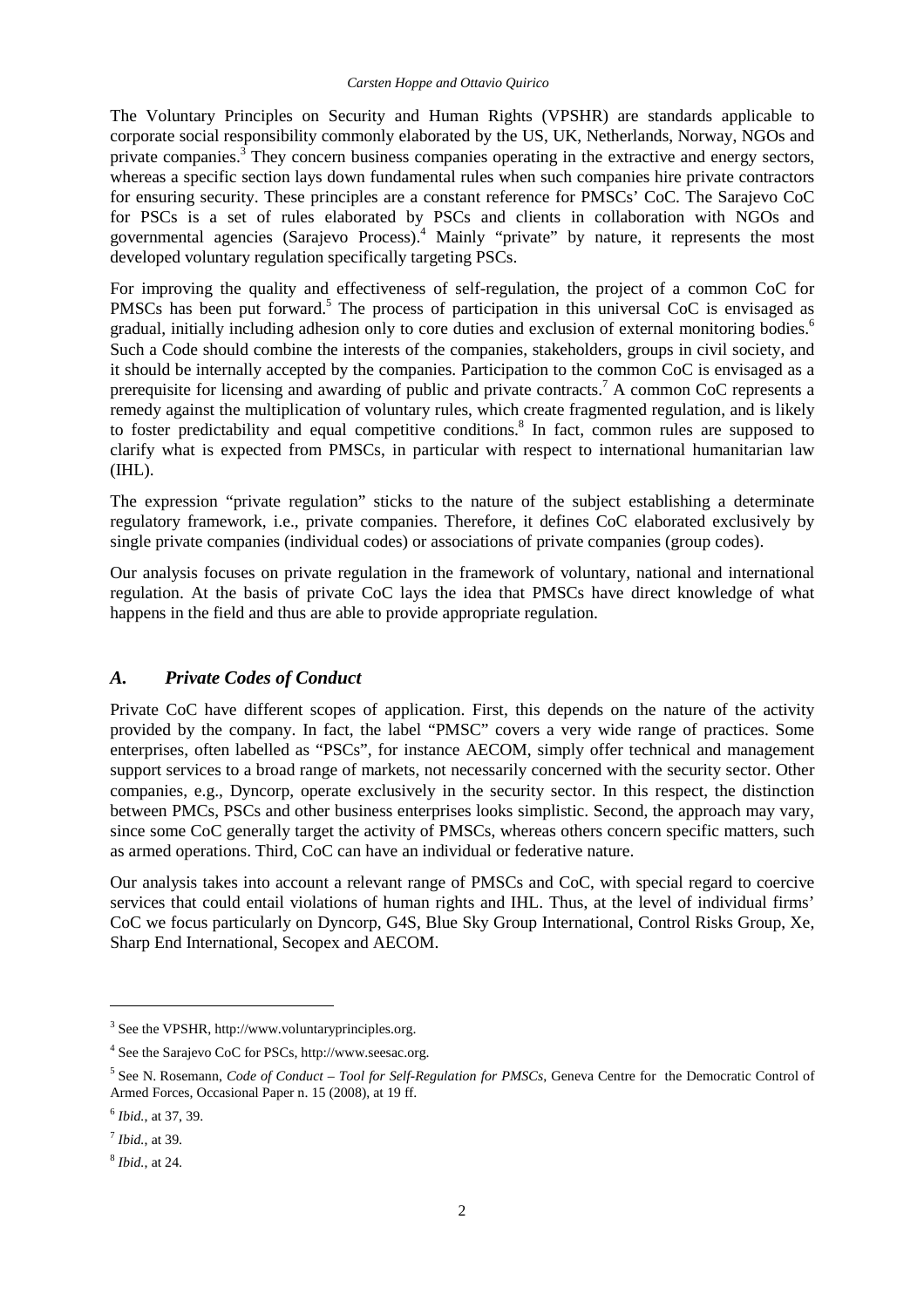The Voluntary Principles on Security and Human Rights (VPSHR) are standards applicable to corporate social responsibility commonly elaborated by the US, UK, Netherlands, Norway, NGOs and private companies. $3\overline{}$  They concern business companies operating in the extractive and energy sectors, whereas a specific section lays down fundamental rules when such companies hire private contractors for ensuring security. These principles are a constant reference for PMSCs' CoC. The Sarajevo CoC for PSCs is a set of rules elaborated by PSCs and clients in collaboration with NGOs and governmental agencies (Sarajevo Process).<sup>4</sup> Mainly "private" by nature, it represents the most developed voluntary regulation specifically targeting PSCs.

For improving the quality and effectiveness of self-regulation, the project of a common CoC for PMSCs has been put forward.<sup>5</sup> The process of participation in this universal CoC is envisaged as gradual, initially including adhesion only to core duties and exclusion of external monitoring bodies.<sup>6</sup> Such a Code should combine the interests of the companies, stakeholders, groups in civil society, and it should be internally accepted by the companies. Participation to the common CoC is envisaged as a prerequisite for licensing and awarding of public and private contracts.<sup>7</sup> A common CoC represents a remedy against the multiplication of voluntary rules, which create fragmented regulation, and is likely to foster predictability and equal competitive conditions.<sup>8</sup> In fact, common rules are supposed to clarify what is expected from PMSCs, in particular with respect to international humanitarian law (IHL).

The expression "private regulation" sticks to the nature of the subject establishing a determinate regulatory framework, i.e., private companies. Therefore, it defines CoC elaborated exclusively by single private companies (individual codes) or associations of private companies (group codes).

Our analysis focuses on private regulation in the framework of voluntary, national and international regulation. At the basis of private CoC lays the idea that PMSCs have direct knowledge of what happens in the field and thus are able to provide appropriate regulation.

#### *A. Private Codes of Conduct*

Private CoC have different scopes of application. First, this depends on the nature of the activity provided by the company. In fact, the label "PMSC" covers a very wide range of practices. Some enterprises, often labelled as "PSCs", for instance AECOM, simply offer technical and management support services to a broad range of markets, not necessarily concerned with the security sector. Other companies, e.g., Dyncorp, operate exclusively in the security sector. In this respect, the distinction between PMCs, PSCs and other business enterprises looks simplistic. Second, the approach may vary, since some CoC generally target the activity of PMSCs, whereas others concern specific matters, such as armed operations. Third, CoC can have an individual or federative nature.

Our analysis takes into account a relevant range of PMSCs and CoC, with special regard to coercive services that could entail violations of human rights and IHL. Thus, at the level of individual firms' CoC we focus particularly on Dyncorp, G4S, Blue Sky Group International, Control Risks Group, Xe, Sharp End International, Secopex and AECOM.

<sup>&</sup>lt;sup>3</sup> See the VPSHR, http://www.voluntaryprinciples.org.

<sup>4</sup> See the Sarajevo CoC for PSCs, http://www.seesac.org.

<sup>&</sup>lt;sup>5</sup> See N. Rosemann, *Code of Conduct – Tool for Self-Regulation for PMSCs*, Geneva Centre for the Democratic Control of Armed Forces, Occasional Paper n. 15 (2008), at 19 ff.

<sup>6</sup> *Ibid.*, at 37, 39.

<sup>7</sup> *Ibid.*, at 39.

<sup>8</sup> *Ibid.*, at 24.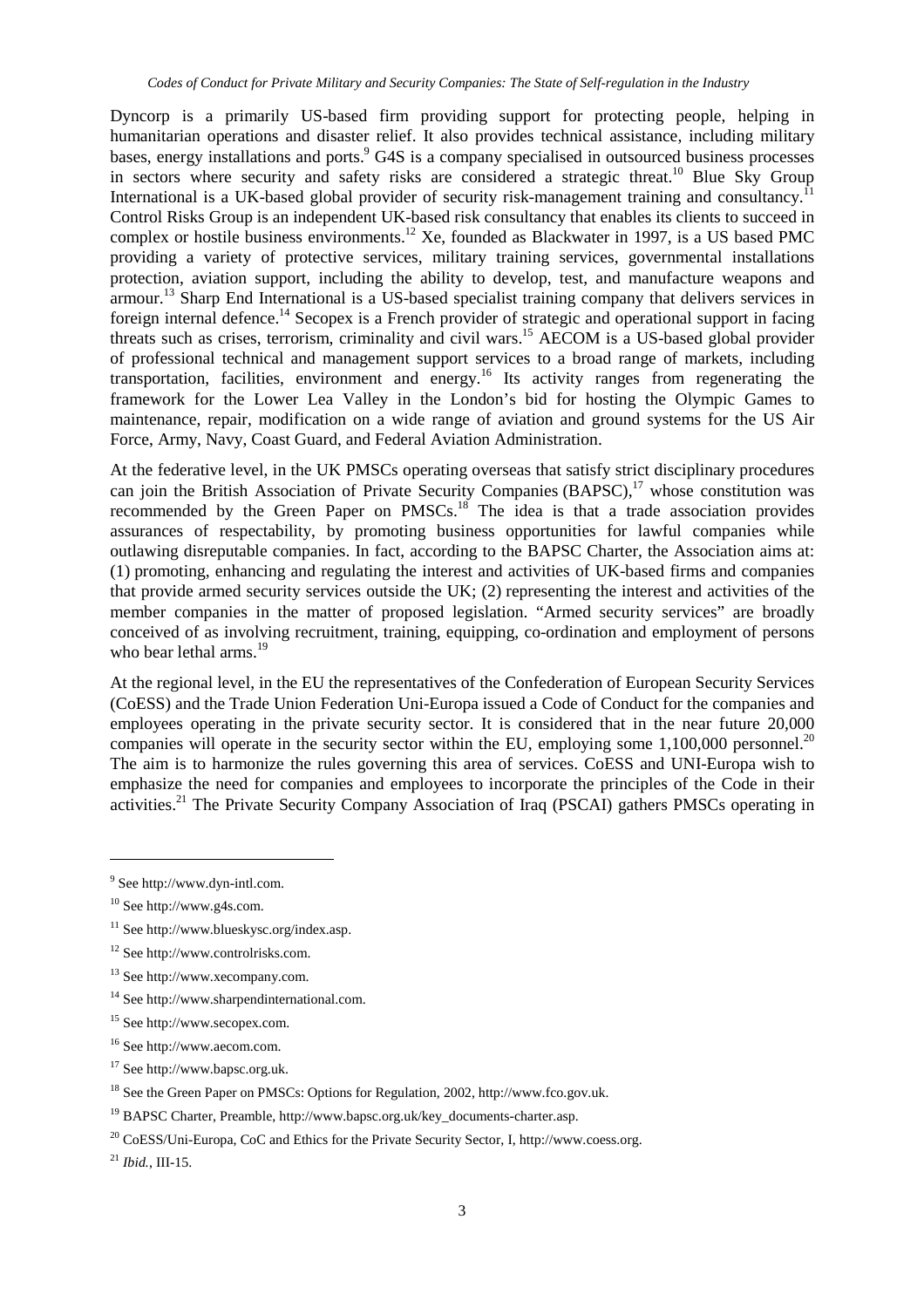Dyncorp is a primarily US-based firm providing support for protecting people, helping in humanitarian operations and disaster relief. It also provides technical assistance, including military bases, energy installations and ports. <sup>9</sup> G4S is a company specialised in outsourced business processes in sectors where security and safety risks are considered a strategic threat.<sup>10</sup> Blue Sky Group International is a UK-based global provider of security risk-management training and consultancy.<sup>1</sup> Control Risks Group is an independent UK-based risk consultancy that enables its clients to succeed in complex or hostile business environments.<sup>12</sup> Xe, founded as Blackwater in 1997, is a US based PMC providing a variety of protective services, military training services, governmental installations protection, aviation support, including the ability to develop, test, and manufacture weapons and armour.<sup>13</sup> Sharp End International is a US-based specialist training company that delivers services in foreign internal defence.<sup>14</sup> Secopex is a French provider of strategic and operational support in facing threats such as crises, terrorism, criminality and civil wars.<sup>15</sup> AECOM is a US-based global provider of professional technical and management support services to a broad range of markets, including transportation, facilities, environment and energy.<sup>16</sup> Its activity ranges from regenerating the framework for the Lower Lea Valley in the London's bid for hosting the Olympic Games to maintenance, repair, modification on a wide range of aviation and ground systems for the US Air Force, Army, Navy, Coast Guard, and Federal Aviation Administration.

At the federative level, in the UK PMSCs operating overseas that satisfy strict disciplinary procedures can join the British Association of Private Security Companies (BAPSC),<sup>17</sup> whose constitution was recommended by the Green Paper on PMSCs.<sup>18</sup> The idea is that a trade association provides assurances of respectability, by promoting business opportunities for lawful companies while outlawing disreputable companies. In fact, according to the BAPSC Charter, the Association aims at: (1) promoting, enhancing and regulating the interest and activities of UK-based firms and companies that provide armed security services outside the UK; (2) representing the interest and activities of the member companies in the matter of proposed legislation. "Armed security services" are broadly conceived of as involving recruitment, training, equipping, co-ordination and employment of persons who bear lethal arms.<sup>19</sup>

At the regional level, in the EU the representatives of the Confederation of European Security Services (CoESS) and the Trade Union Federation Uni-Europa issued a Code of Conduct for the companies and employees operating in the private security sector. It is considered that in the near future 20,000 companies will operate in the security sector within the EU, employing some  $1,100,000$  personnel.<sup>20</sup> The aim is to harmonize the rules governing this area of services. CoESS and UNI-Europa wish to emphasize the need for companies and employees to incorporate the principles of the Code in their activities.<sup>21</sup> The Private Security Company Association of Iraq (PSCAI) gathers PMSCs operating in

 $\overline{a}$ 

<sup>16</sup> See http://www.aecom.com.

<sup>&</sup>lt;sup>9</sup> See http://www.dyn-intl.com.

<sup>10</sup> See http://www.g4s.com.

<sup>11</sup> See http://www.blueskysc.org/index.asp.

<sup>12</sup> See http://www.controlrisks.com.

<sup>13</sup> See http://www.xecompany.com.

<sup>&</sup>lt;sup>14</sup> See http://www.sharpendinternational.com.

<sup>15</sup> See http://www.secopex.com.

<sup>17</sup> See http://www.bapsc.org.uk.

<sup>18</sup> See the Green Paper on PMSCs: Options for Regulation, 2002, http://www.fco.gov.uk.

<sup>&</sup>lt;sup>19</sup> BAPSC Charter, Preamble, http://www.bapsc.org.uk/key\_documents-charter.asp.

 $^{20}$  CoESS/Uni-Europa, CoC and Ethics for the Private Security Sector, I, http://www.coess.org.

<sup>21</sup> *Ibid.*, III-15.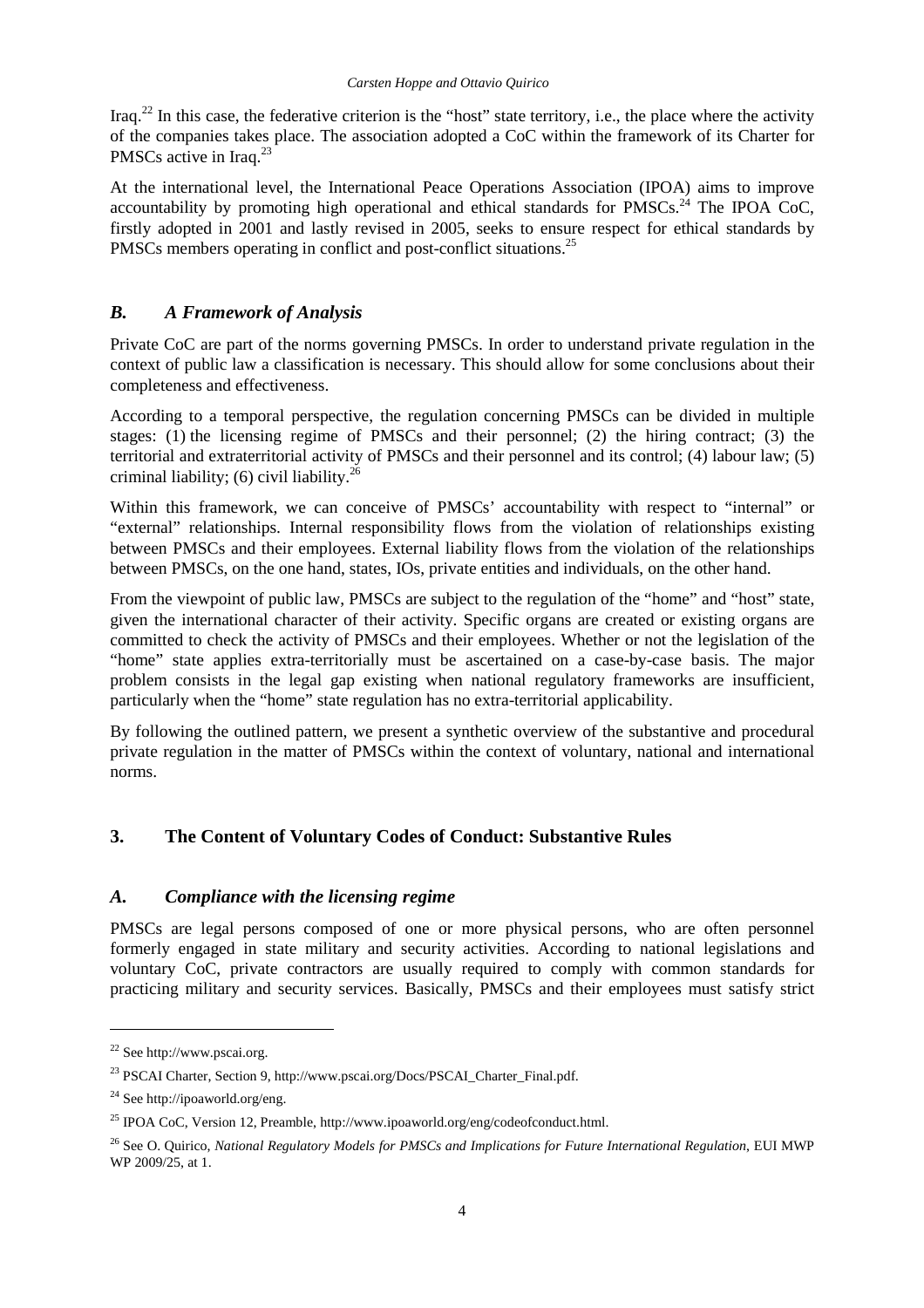Iraq.<sup>22</sup> In this case, the federative criterion is the "host" state territory, i.e., the place where the activity of the companies takes place. The association adopted a CoC within the framework of its Charter for PMSCs active in Iraq.<sup>23</sup>

At the international level, the International Peace Operations Association (IPOA) aims to improve accountability by promoting high operational and ethical standards for PMSCs.<sup>24</sup> The IPOA CoC, firstly adopted in 2001 and lastly revised in 2005, seeks to ensure respect for ethical standards by PMSCs members operating in conflict and post-conflict situations.<sup>25</sup>

## *B. A Framework of Analysis*

Private CoC are part of the norms governing PMSCs. In order to understand private regulation in the context of public law a classification is necessary. This should allow for some conclusions about their completeness and effectiveness.

According to a temporal perspective, the regulation concerning PMSCs can be divided in multiple stages: (1) the licensing regime of PMSCs and their personnel; (2) the hiring contract; (3) the territorial and extraterritorial activity of PMSCs and their personnel and its control; (4) labour law; (5) criminal liability; (6) civil liability.<sup>26</sup>

Within this framework, we can conceive of PMSCs' accountability with respect to "internal" or "external" relationships. Internal responsibility flows from the violation of relationships existing between PMSCs and their employees. External liability flows from the violation of the relationships between PMSCs, on the one hand, states, IOs, private entities and individuals, on the other hand.

From the viewpoint of public law, PMSCs are subject to the regulation of the "home" and "host" state, given the international character of their activity. Specific organs are created or existing organs are committed to check the activity of PMSCs and their employees. Whether or not the legislation of the "home" state applies extra-territorially must be ascertained on a case-by-case basis. The major problem consists in the legal gap existing when national regulatory frameworks are insufficient, particularly when the "home" state regulation has no extra-territorial applicability.

By following the outlined pattern, we present a synthetic overview of the substantive and procedural private regulation in the matter of PMSCs within the context of voluntary, national and international norms.

## **3. The Content of Voluntary Codes of Conduct: Substantive Rules**

## *A. Compliance with the licensing regime*

PMSCs are legal persons composed of one or more physical persons, who are often personnel formerly engaged in state military and security activities. According to national legislations and voluntary CoC, private contractors are usually required to comply with common standards for practicing military and security services. Basically, PMSCs and their employees must satisfy strict

<sup>22</sup> See http://www.pscai.org.

<sup>23</sup> PSCAI Charter, Section 9, http://www.pscai.org/Docs/PSCAI\_Charter\_Final.pdf.

<sup>24</sup> See http://ipoaworld.org/eng.

<sup>25</sup> IPOA CoC, Version 12, Preamble, http://www.ipoaworld.org/eng/codeofconduct.html.

<sup>&</sup>lt;sup>26</sup> See O. Quirico, *National Regulatory Models for PMSCs and Implications for Future International Regulation*, EUI MWP WP 2009/25, at 1.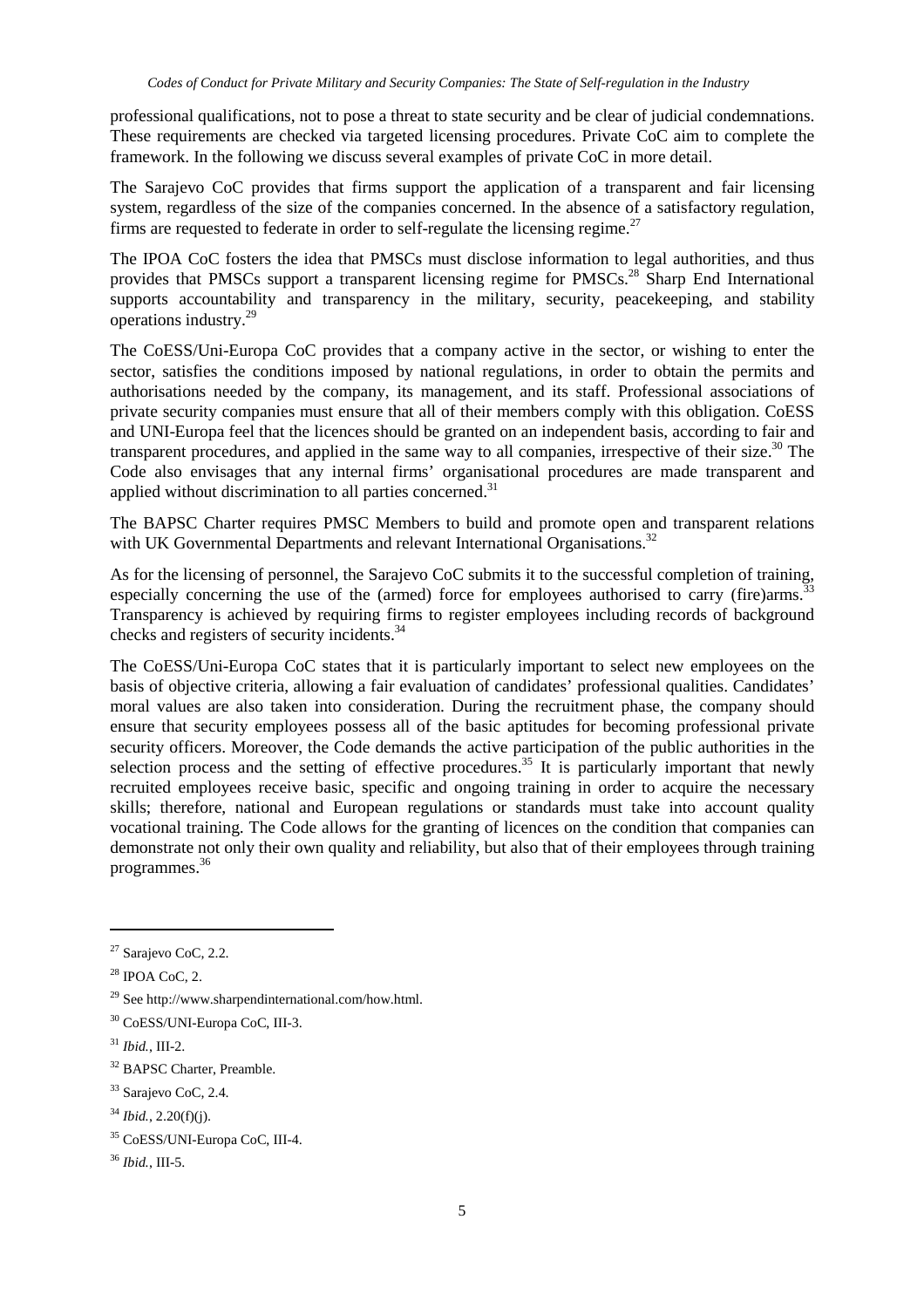professional qualifications, not to pose a threat to state security and be clear of judicial condemnations. These requirements are checked via targeted licensing procedures. Private CoC aim to complete the framework. In the following we discuss several examples of private CoC in more detail.

The Sarajevo CoC provides that firms support the application of a transparent and fair licensing system, regardless of the size of the companies concerned. In the absence of a satisfactory regulation, firms are requested to federate in order to self-regulate the licensing regime.<sup>27</sup>

The IPOA CoC fosters the idea that PMSCs must disclose information to legal authorities, and thus provides that PMSCs support a transparent licensing regime for PMSCs.<sup>28</sup> Sharp End International supports accountability and transparency in the military, security, peacekeeping, and stability operations industry.<sup>29</sup>

The CoESS/Uni-Europa CoC provides that a company active in the sector, or wishing to enter the sector, satisfies the conditions imposed by national regulations, in order to obtain the permits and authorisations needed by the company, its management, and its staff. Professional associations of private security companies must ensure that all of their members comply with this obligation. CoESS and UNI-Europa feel that the licences should be granted on an independent basis, according to fair and transparent procedures, and applied in the same way to all companies, irrespective of their size.<sup>30</sup> The Code also envisages that any internal firms' organisational procedures are made transparent and applied without discrimination to all parties concerned.<sup>31</sup>

The BAPSC Charter requires PMSC Members to build and promote open and transparent relations with UK Governmental Departments and relevant International Organisations.<sup>32</sup>

As for the licensing of personnel, the Sarajevo CoC submits it to the successful completion of training, especially concerning the use of the (armed) force for employees authorised to carry (fire)arms.<sup>3</sup> Transparency is achieved by requiring firms to register employees including records of background checks and registers of security incidents.<sup>34</sup>

The CoESS/Uni-Europa CoC states that it is particularly important to select new employees on the basis of objective criteria, allowing a fair evaluation of candidates' professional qualities. Candidates' moral values are also taken into consideration. During the recruitment phase, the company should ensure that security employees possess all of the basic aptitudes for becoming professional private security officers. Moreover, the Code demands the active participation of the public authorities in the selection process and the setting of effective procedures.<sup>35</sup> It is particularly important that newly recruited employees receive basic, specific and ongoing training in order to acquire the necessary skills; therefore, national and European regulations or standards must take into account quality vocational training. The Code allows for the granting of licences on the condition that companies can demonstrate not only their own quality and reliability, but also that of their employees through training programmes.<sup>36</sup>

<sup>&</sup>lt;sup>27</sup> Sarajevo CoC, 2.2.

 $28$  IPOA CoC, 2.

<sup>&</sup>lt;sup>29</sup> See http://www.sharpendinternational.com/how.html.

<sup>30</sup> CoESS/UNI-Europa CoC, III-3.

<sup>31</sup> *Ibid.*, III-2.

<sup>&</sup>lt;sup>32</sup> BAPSC Charter, Preamble.

<sup>&</sup>lt;sup>33</sup> Sarajevo CoC, 2.4.

<sup>34</sup> *Ibid.*, 2.20(f)(j).

<sup>35</sup> CoESS/UNI-Europa CoC, III-4.

<sup>36</sup> *Ibid.*, III-5.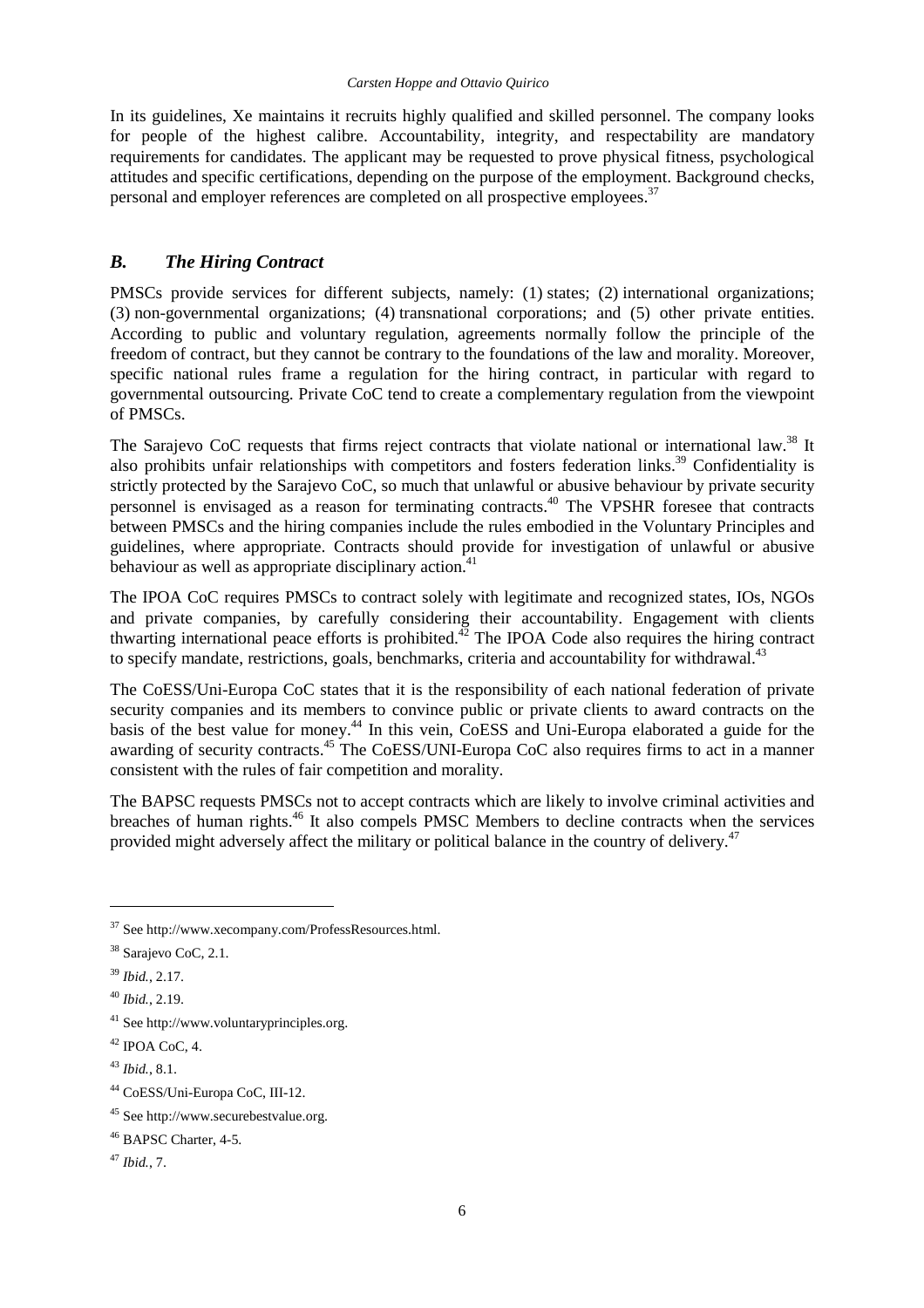In its guidelines, Xe maintains it recruits highly qualified and skilled personnel. The company looks for people of the highest calibre. Accountability, integrity, and respectability are mandatory requirements for candidates. The applicant may be requested to prove physical fitness, psychological attitudes and specific certifications, depending on the purpose of the employment. Background checks, personal and employer references are completed on all prospective employees.<sup>37</sup>

#### *B. The Hiring Contract*

PMSCs provide services for different subjects, namely: (1) states; (2) international organizations; (3) non-governmental organizations; (4) transnational corporations; and (5) other private entities. According to public and voluntary regulation, agreements normally follow the principle of the freedom of contract, but they cannot be contrary to the foundations of the law and morality. Moreover, specific national rules frame a regulation for the hiring contract, in particular with regard to governmental outsourcing. Private CoC tend to create a complementary regulation from the viewpoint of PMSCs.

The Sarajevo CoC requests that firms reject contracts that violate national or international law.<sup>38</sup> It also prohibits unfair relationships with competitors and fosters federation links.<sup>39</sup> Confidentiality is strictly protected by the Sarajevo CoC, so much that unlawful or abusive behaviour by private security personnel is envisaged as a reason for terminating contracts.<sup>40</sup> The VPSHR foresee that contracts between PMSCs and the hiring companies include the rules embodied in the Voluntary Principles and guidelines, where appropriate. Contracts should provide for investigation of unlawful or abusive behaviour as well as appropriate disciplinary action. $41$ 

The IPOA CoC requires PMSCs to contract solely with legitimate and recognized states, IOs, NGOs and private companies, by carefully considering their accountability. Engagement with clients thwarting international peace efforts is prohibited.<sup>42</sup> The IPOA Code also requires the hiring contract to specify mandate, restrictions, goals, benchmarks, criteria and accountability for withdrawal.<sup>43</sup>

The CoESS/Uni-Europa CoC states that it is the responsibility of each national federation of private security companies and its members to convince public or private clients to award contracts on the basis of the best value for money.<sup>44</sup> In this vein, CoESS and Uni-Europa elaborated a guide for the awarding of security contracts.<sup>45</sup> The CoESS/UNI-Europa CoC also requires firms to act in a manner consistent with the rules of fair competition and morality.

The BAPSC requests PMSCs not to accept contracts which are likely to involve criminal activities and breaches of human rights.<sup>46</sup> It also compels PMSC Members to decline contracts when the services provided might adversely affect the military or political balance in the country of delivery.<sup>47</sup>

<sup>37</sup> See http://www.xecompany.com/ProfessResources.html.

<sup>&</sup>lt;sup>38</sup> Sarajevo CoC, 2.1.

<sup>39</sup> *Ibid.*, 2.17.

<sup>40</sup> *Ibid.*, 2.19.

<sup>41</sup> See http://www.voluntaryprinciples.org.

 $42$  IPOA CoC, 4.

<sup>43</sup> *Ibid.*, 8.1.

<sup>44</sup> CoESS/Uni-Europa CoC, III-12.

<sup>45</sup> See http://www.securebestvalue.org.

<sup>46</sup> BAPSC Charter, 4-5.

<sup>47</sup> *Ibid.*, 7.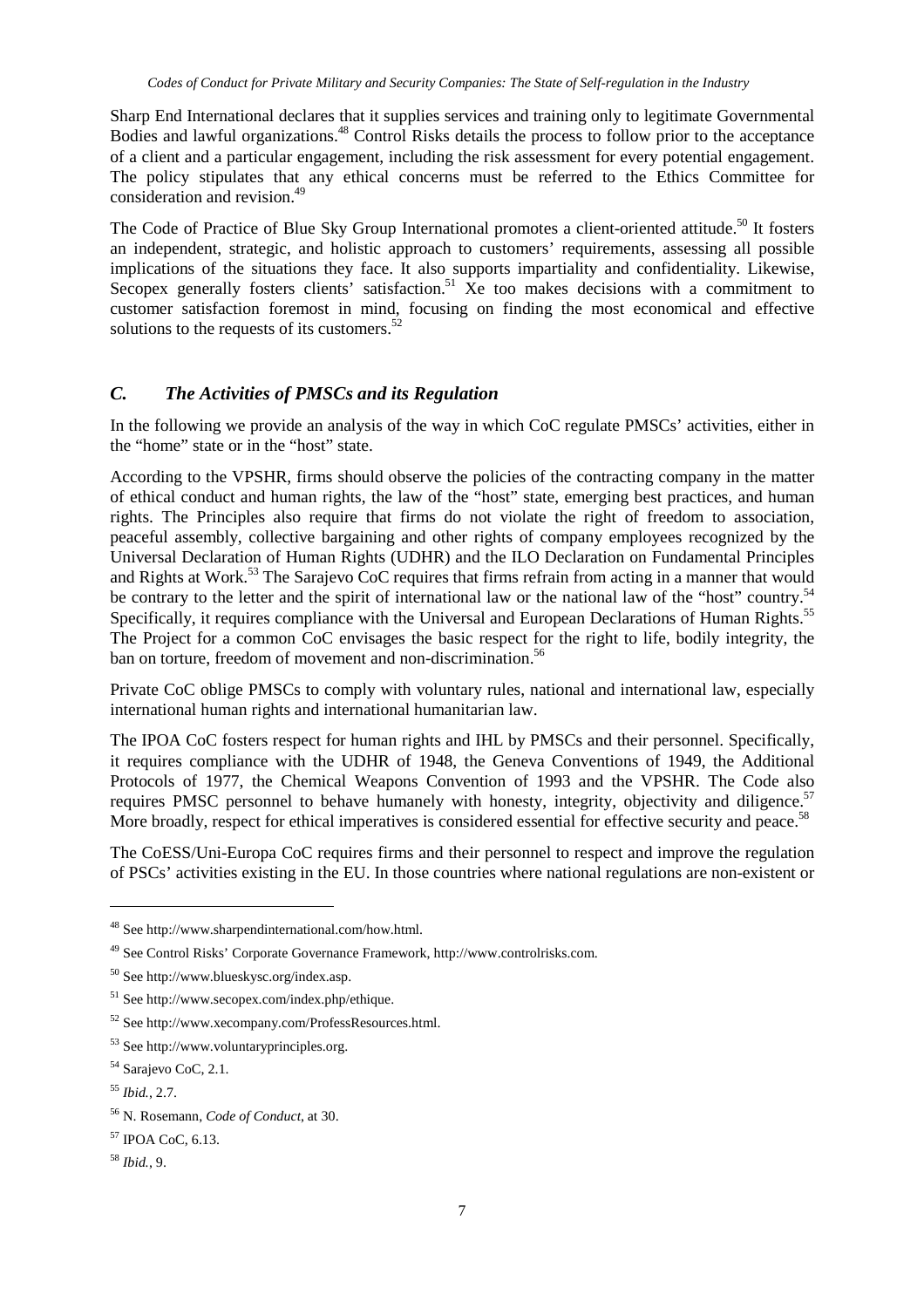Sharp End International declares that it supplies services and training only to legitimate Governmental Bodies and lawful organizations.<sup>48</sup> Control Risks details the process to follow prior to the acceptance of a client and a particular engagement, including the risk assessment for every potential engagement. The policy stipulates that any ethical concerns must be referred to the Ethics Committee for consideration and revision.<sup>49</sup>

The Code of Practice of Blue Sky Group International promotes a client-oriented attitude.<sup>50</sup> It fosters an independent, strategic, and holistic approach to customers' requirements, assessing all possible implications of the situations they face. It also supports impartiality and confidentiality. Likewise, Secopex generally fosters clients' satisfaction.<sup>51</sup> Xe too makes decisions with a commitment to customer satisfaction foremost in mind, focusing on finding the most economical and effective solutions to the requests of its customers.<sup>52</sup>

## *C. The Activities of PMSCs and its Regulation*

In the following we provide an analysis of the way in which CoC regulate PMSCs' activities, either in the "home" state or in the "host" state.

According to the VPSHR, firms should observe the policies of the contracting company in the matter of ethical conduct and human rights, the law of the "host" state, emerging best practices, and human rights. The Principles also require that firms do not violate the right of freedom to association, peaceful assembly, collective bargaining and other rights of company employees recognized by the Universal Declaration of Human Rights (UDHR) and the ILO Declaration on Fundamental Principles and Rights at Work.<sup>53</sup> The Sarajevo CoC requires that firms refrain from acting in a manner that would be contrary to the letter and the spirit of international law or the national law of the "host" country.<sup>54</sup> Specifically, it requires compliance with the Universal and European Declarations of Human Rights.<sup>55</sup> The Project for a common CoC envisages the basic respect for the right to life, bodily integrity, the ban on torture, freedom of movement and non-discrimination.<sup>56</sup>

Private CoC oblige PMSCs to comply with voluntary rules, national and international law, especially international human rights and international humanitarian law.

The IPOA CoC fosters respect for human rights and IHL by PMSCs and their personnel. Specifically, it requires compliance with the UDHR of 1948, the Geneva Conventions of 1949, the Additional Protocols of 1977, the Chemical Weapons Convention of 1993 and the VPSHR. The Code also requires PMSC personnel to behave humanely with honesty, integrity, objectivity and diligence.<sup>57</sup> More broadly, respect for ethical imperatives is considered essential for effective security and peace.<sup>58</sup>

The CoESS/Uni-Europa CoC requires firms and their personnel to respect and improve the regulation of PSCs' activities existing in the EU. In those countries where national regulations are non-existent or

<sup>48</sup> See http://www.sharpendinternational.com/how.html.

<sup>49</sup> See Control Risks' Corporate Governance Framework, http://www.controlrisks.com.

<sup>50</sup> See http://www.blueskysc.org/index.asp.

 $51$  See http://www.secopex.com/index.php/ethique.

<sup>52</sup> See http://www.xecompany.com/ProfessResources.html.

<sup>53</sup> See http://www.voluntaryprinciples.org.

<sup>54</sup> Sarajevo CoC, 2.1.

<sup>55</sup> *Ibid.*, 2.7.

<sup>56</sup> N. Rosemann, *Code of Conduct*, at 30.

<sup>57</sup> IPOA CoC, 6.13.

<sup>58</sup> *Ibid.*, 9.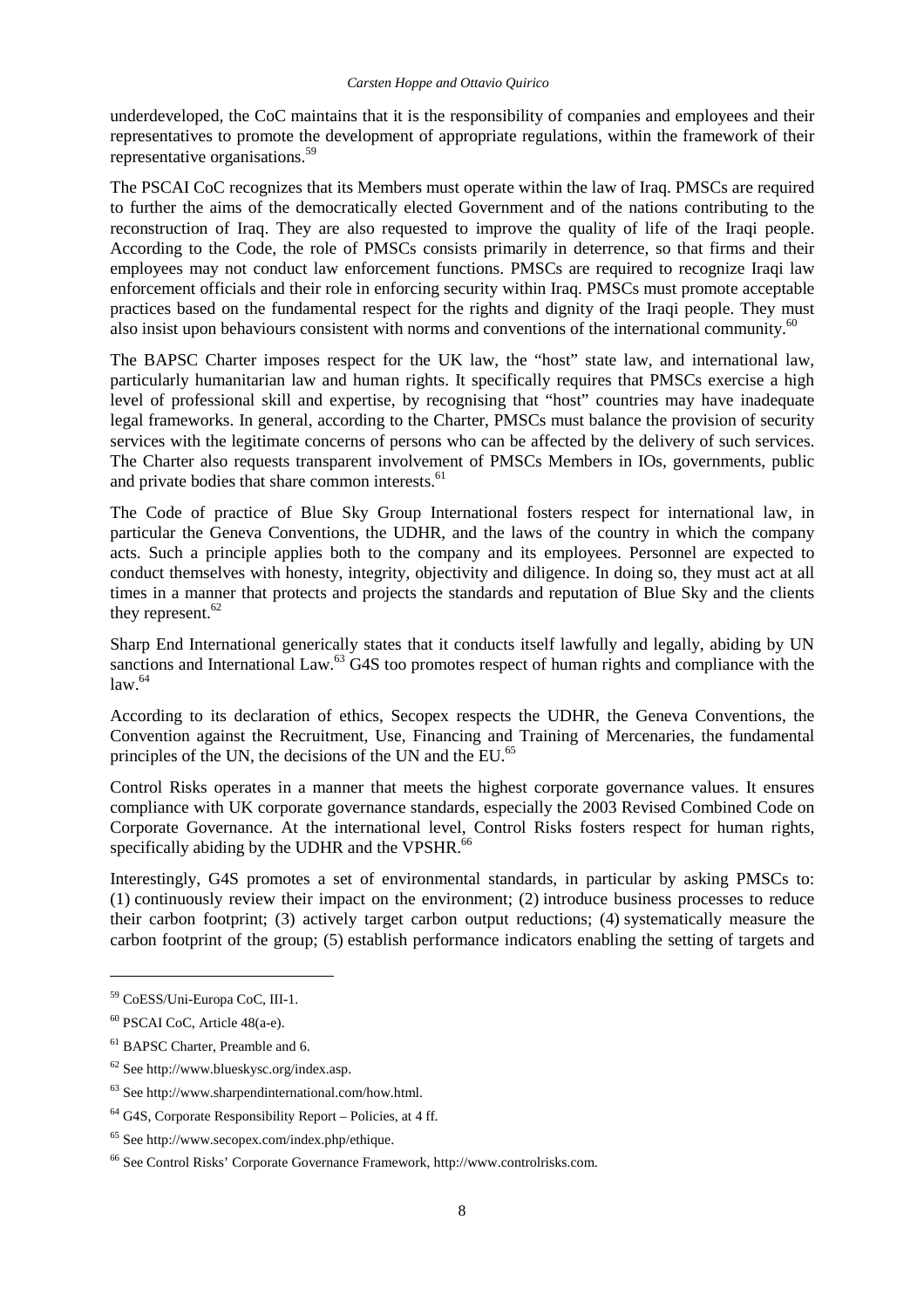underdeveloped, the CoC maintains that it is the responsibility of companies and employees and their representatives to promote the development of appropriate regulations, within the framework of their representative organisations.<sup>59</sup>

The PSCAI CoC recognizes that its Members must operate within the law of Iraq. PMSCs are required to further the aims of the democratically elected Government and of the nations contributing to the reconstruction of Iraq. They are also requested to improve the quality of life of the Iraqi people. According to the Code, the role of PMSCs consists primarily in deterrence, so that firms and their employees may not conduct law enforcement functions. PMSCs are required to recognize Iraqi law enforcement officials and their role in enforcing security within Iraq. PMSCs must promote acceptable practices based on the fundamental respect for the rights and dignity of the Iraqi people. They must also insist upon behaviours consistent with norms and conventions of the international community.<sup>60</sup>

The BAPSC Charter imposes respect for the UK law, the "host" state law, and international law, particularly humanitarian law and human rights. It specifically requires that PMSCs exercise a high level of professional skill and expertise, by recognising that "host" countries may have inadequate legal frameworks. In general, according to the Charter, PMSCs must balance the provision of security services with the legitimate concerns of persons who can be affected by the delivery of such services. The Charter also requests transparent involvement of PMSCs Members in IOs, governments, public and private bodies that share common interests.<sup>61</sup>

The Code of practice of Blue Sky Group International fosters respect for international law, in particular the Geneva Conventions, the UDHR, and the laws of the country in which the company acts. Such a principle applies both to the company and its employees. Personnel are expected to conduct themselves with honesty, integrity, objectivity and diligence. In doing so, they must act at all times in a manner that protects and projects the standards and reputation of Blue Sky and the clients they represent. $62$ 

Sharp End International generically states that it conducts itself lawfully and legally, abiding by UN sanctions and International Law.<sup>63</sup> G4S too promotes respect of human rights and compliance with the  $\frac{1}{2}$ law.  $64$ 

According to its declaration of ethics, Secopex respects the UDHR, the Geneva Conventions, the Convention against the Recruitment, Use, Financing and Training of Mercenaries, the fundamental principles of the UN, the decisions of the UN and the EU.<sup>65</sup>

Control Risks operates in a manner that meets the highest corporate governance values. It ensures compliance with UK corporate governance standards, especially the 2003 Revised Combined Code on Corporate Governance. At the international level, Control Risks fosters respect for human rights, specifically abiding by the UDHR and the VPSHR.<sup>66</sup>

Interestingly, G4S promotes a set of environmental standards, in particular by asking PMSCs to: (1) continuously review their impact on the environment; (2) introduce business processes to reduce their carbon footprint; (3) actively target carbon output reductions; (4) systematically measure the carbon footprint of the group; (5) establish performance indicators enabling the setting of targets and

<sup>59</sup> CoESS/Uni-Europa CoC, III-1.

<sup>60</sup> PSCAI CoC, Article 48(a-e).

<sup>&</sup>lt;sup>61</sup> BAPSC Charter, Preamble and 6.

<sup>62</sup> See http://www.blueskysc.org/index.asp.

<sup>63</sup> See http://www.sharpendinternational.com/how.html.

 $64$  G4S, Corporate Responsibility Report – Policies, at 4 ff.

 $65$  See http://www.secopex.com/index.php/ethique.

<sup>66</sup> See Control Risks' Corporate Governance Framework, http://www.controlrisks.com.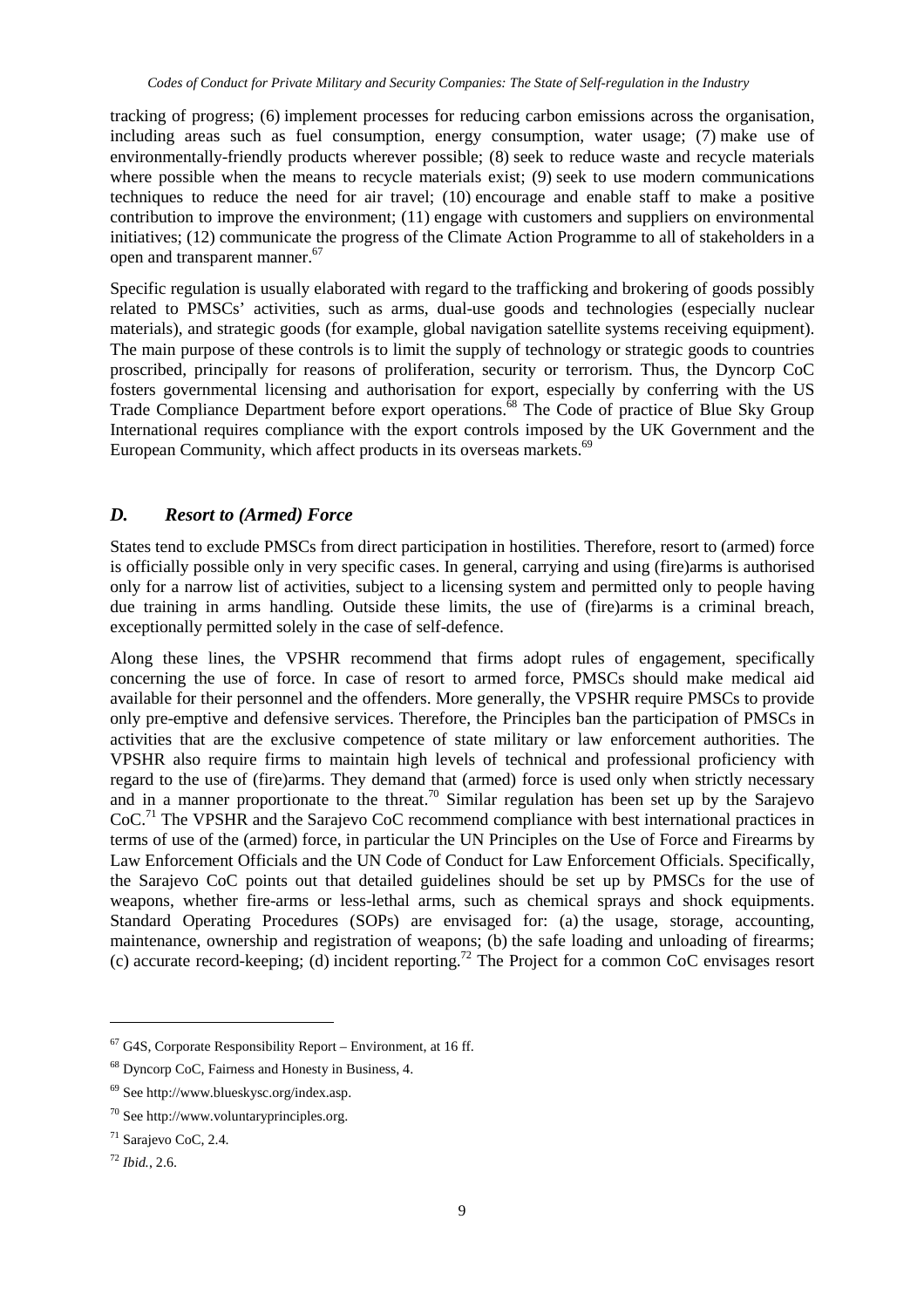tracking of progress; (6) implement processes for reducing carbon emissions across the organisation, including areas such as fuel consumption, energy consumption, water usage; (7) make use of environmentally-friendly products wherever possible; (8) seek to reduce waste and recycle materials where possible when the means to recycle materials exist; (9) seek to use modern communications techniques to reduce the need for air travel; (10) encourage and enable staff to make a positive contribution to improve the environment; (11) engage with customers and suppliers on environmental initiatives; (12) communicate the progress of the Climate Action Programme to all of stakeholders in a open and transparent manner.<sup>67</sup>

Specific regulation is usually elaborated with regard to the trafficking and brokering of goods possibly related to PMSCs' activities, such as arms, dual-use goods and technologies (especially nuclear materials), and strategic goods (for example, global navigation satellite systems receiving equipment). The main purpose of these controls is to limit the supply of technology or strategic goods to countries proscribed, principally for reasons of proliferation, security or terrorism. Thus, the Dyncorp CoC fosters governmental licensing and authorisation for export, especially by conferring with the US Trade Compliance Department before export operations.<sup>68</sup> The Code of practice of Blue Sky Group International requires compliance with the export controls imposed by the UK Government and the European Community, which affect products in its overseas markets.<sup>69</sup>

#### *D. Resort to (Armed) Force*

States tend to exclude PMSCs from direct participation in hostilities. Therefore, resort to (armed) force is officially possible only in very specific cases. In general, carrying and using (fire)arms is authorised only for a narrow list of activities, subject to a licensing system and permitted only to people having due training in arms handling. Outside these limits, the use of (fire)arms is a criminal breach, exceptionally permitted solely in the case of self-defence.

Along these lines, the VPSHR recommend that firms adopt rules of engagement, specifically concerning the use of force. In case of resort to armed force, PMSCs should make medical aid available for their personnel and the offenders. More generally, the VPSHR require PMSCs to provide only pre-emptive and defensive services. Therefore, the Principles ban the participation of PMSCs in activities that are the exclusive competence of state military or law enforcement authorities. The VPSHR also require firms to maintain high levels of technical and professional proficiency with regard to the use of (fire)arms. They demand that (armed) force is used only when strictly necessary and in a manner proportionate to the threat.<sup>70</sup> Similar regulation has been set up by the Sarajevo CoC.<sup>71</sup> The VPSHR and the Sarajevo CoC recommend compliance with best international practices in terms of use of the (armed) force, in particular the UN Principles on the Use of Force and Firearms by Law Enforcement Officials and the UN Code of Conduct for Law Enforcement Officials. Specifically, the Sarajevo CoC points out that detailed guidelines should be set up by PMSCs for the use of weapons, whether fire-arms or less-lethal arms, such as chemical sprays and shock equipments. Standard Operating Procedures (SOPs) are envisaged for: (a) the usage, storage, accounting, maintenance, ownership and registration of weapons; (b) the safe loading and unloading of firearms; (c) accurate record-keeping; (d) incident reporting.<sup>72</sup> The Project for a common CoC envisages resort

 $67$  G4S, Corporate Responsibility Report – Environment, at 16 ff.

<sup>68</sup> Dyncorp CoC, Fairness and Honesty in Business, 4.

<sup>69</sup> See http://www.blueskysc.org/index.asp.

<sup>70</sup> See http://www.voluntaryprinciples.org.

<sup>71</sup> Sarajevo CoC, 2.4.

<sup>72</sup> *Ibid.*, 2.6.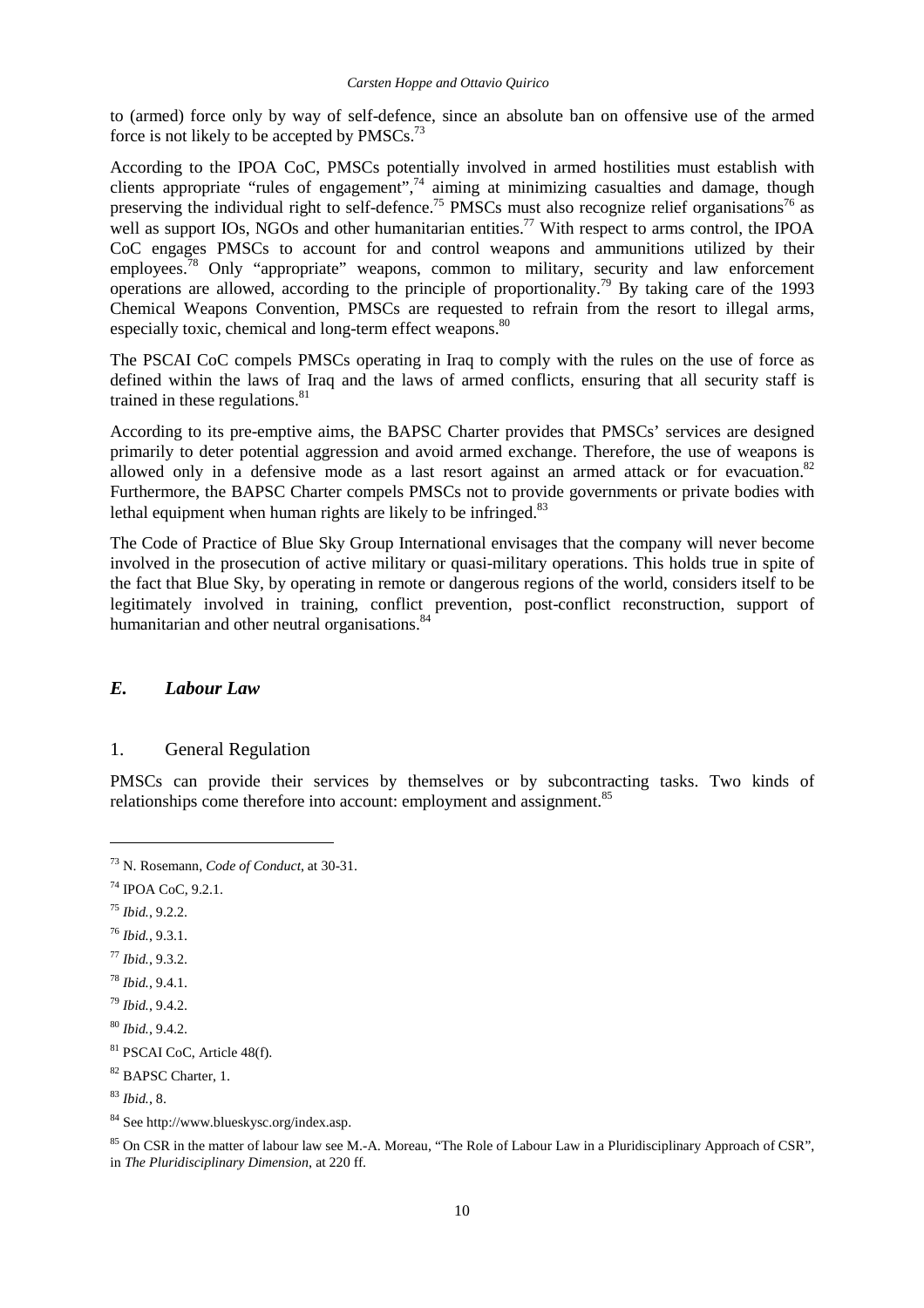to (armed) force only by way of self-defence, since an absolute ban on offensive use of the armed force is not likely to be accepted by  $PMSCs.<sup>73</sup>$ 

According to the IPOA CoC, PMSCs potentially involved in armed hostilities must establish with clients appropriate "rules of engagement", $74$  aiming at minimizing casualties and damage, though preserving the individual right to self-defence.<sup>75</sup> PMSCs must also recognize relief organisations<sup>76</sup> as well as support IOs, NGOs and other humanitarian entities.<sup>77</sup> With respect to arms control, the IPOA CoC engages PMSCs to account for and control weapons and ammunitions utilized by their employees.<sup>78</sup> Only "appropriate" weapons, common to military, security and law enforcement operations are allowed, according to the principle of proportionality.<sup>79</sup> By taking care of the 1993 Chemical Weapons Convention, PMSCs are requested to refrain from the resort to illegal arms, especially toxic, chemical and long-term effect weapons.<sup>80</sup>

The PSCAI CoC compels PMSCs operating in Iraq to comply with the rules on the use of force as defined within the laws of Iraq and the laws of armed conflicts, ensuring that all security staff is trained in these regulations. $81$ 

According to its pre-emptive aims, the BAPSC Charter provides that PMSCs' services are designed primarily to deter potential aggression and avoid armed exchange. Therefore, the use of weapons is allowed only in a defensive mode as a last resort against an armed attack or for evacuation.<sup>82</sup> Furthermore, the BAPSC Charter compels PMSCs not to provide governments or private bodies with lethal equipment when human rights are likely to be infringed. $83$ 

The Code of Practice of Blue Sky Group International envisages that the company will never become involved in the prosecution of active military or quasi-military operations. This holds true in spite of the fact that Blue Sky, by operating in remote or dangerous regions of the world, considers itself to be legitimately involved in training, conflict prevention, post-conflict reconstruction, support of humanitarian and other neutral organisations.<sup>8</sup>

#### *E. Labour Law*

#### 1. General Regulation

PMSCs can provide their services by themselves or by subcontracting tasks. Two kinds of relationships come therefore into account: employment and assignment.<sup>85</sup>

 $\overline{a}$ 

<sup>77</sup> *Ibid.*, 9.3.2.

<sup>73</sup> N. Rosemann, *Code of Conduct*, at 30-31.

<sup>74</sup> IPOA CoC, 9.2.1.

<sup>75</sup> *Ibid.*, 9.2.2.

<sup>76</sup> *Ibid.*, 9.3.1.

<sup>78</sup> *Ibid.*, 9.4.1.

<sup>79</sup> *Ibid.*, 9.4.2.

<sup>80</sup> *Ibid.*, 9.4.2.

<sup>81</sup> PSCAI CoC, Article 48(f).

<sup>&</sup>lt;sup>82</sup> BAPSC Charter, 1.

<sup>83</sup> *Ibid.*, 8.

<sup>84</sup> See http://www.blueskysc.org/index.asp.

<sup>&</sup>lt;sup>85</sup> On CSR in the matter of labour law see M.-A. Moreau, "The Role of Labour Law in a Pluridisciplinary Approach of CSR", in *The Pluridisciplinary Dimension*, at 220 ff.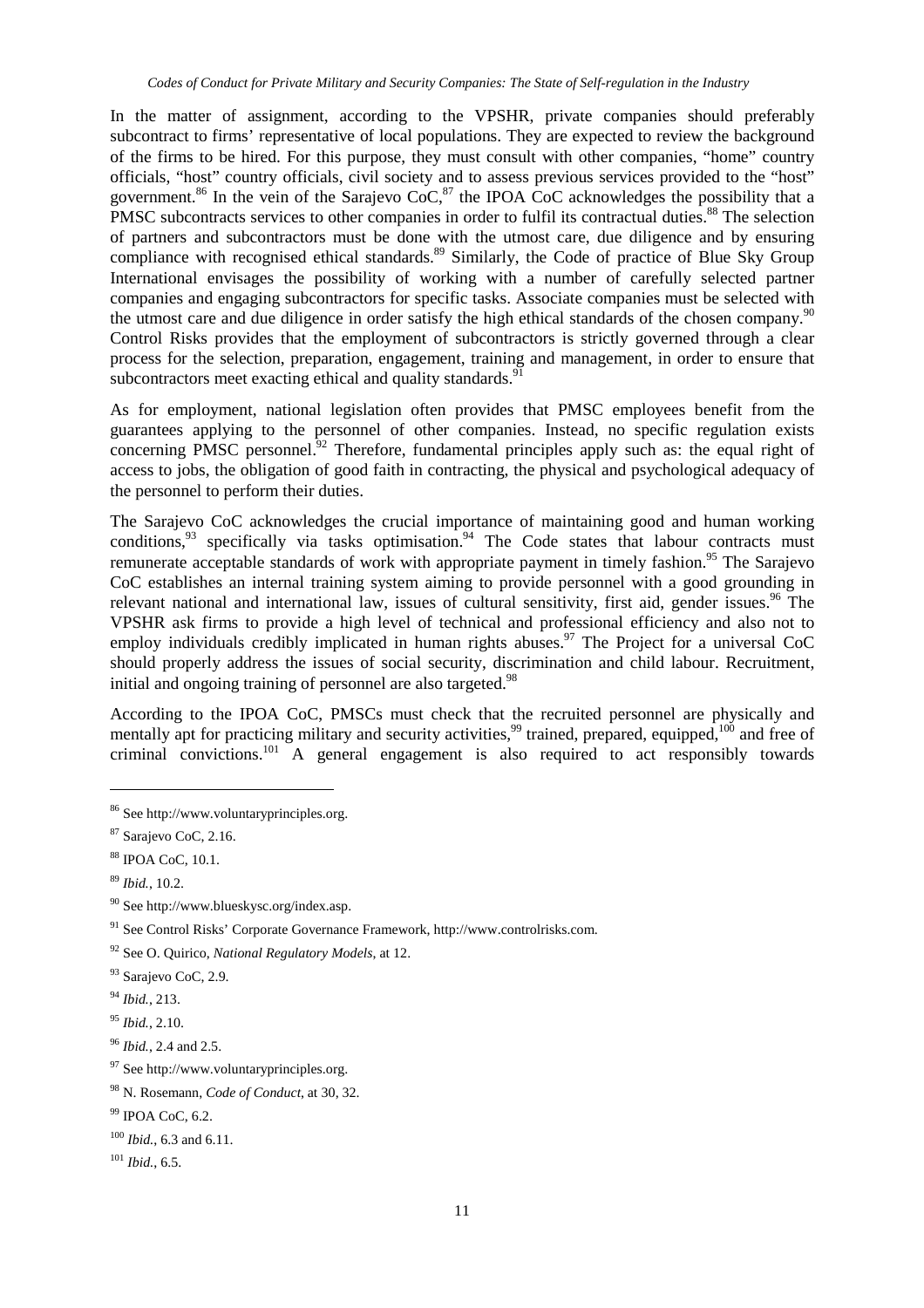In the matter of assignment, according to the VPSHR, private companies should preferably subcontract to firms' representative of local populations. They are expected to review the background of the firms to be hired. For this purpose, they must consult with other companies, "home" country officials, "host" country officials, civil society and to assess previous services provided to the "host" government.<sup>86</sup> In the vein of the Sarajevo CoC,  $^{87}$  the IPOA CoC acknowledges the possibility that a PMSC subcontracts services to other companies in order to fulfil its contractual duties.<sup>88</sup> The selection of partners and subcontractors must be done with the utmost care, due diligence and by ensuring compliance with recognised ethical standards.<sup>89</sup> Similarly, the Code of practice of Blue Sky Group International envisages the possibility of working with a number of carefully selected partner companies and engaging subcontractors for specific tasks. Associate companies must be selected with the utmost care and due diligence in order satisfy the high ethical standards of the chosen company.<sup>90</sup> Control Risks provides that the employment of subcontractors is strictly governed through a clear process for the selection, preparation, engagement, training and management, in order to ensure that subcontractors meet exacting ethical and quality standards.<sup>9</sup>

As for employment, national legislation often provides that PMSC employees benefit from the guarantees applying to the personnel of other companies. Instead, no specific regulation exists concerning PMSC personnel. $92$  Therefore, fundamental principles apply such as: the equal right of access to jobs, the obligation of good faith in contracting, the physical and psychological adequacy of the personnel to perform their duties.

The Sarajevo CoC acknowledges the crucial importance of maintaining good and human working conditions, $93$  specifically via tasks optimisation.<sup>94</sup> The Code states that labour contracts must remunerate acceptable standards of work with appropriate payment in timely fashion.<sup>95</sup> The Sarajevo CoC establishes an internal training system aiming to provide personnel with a good grounding in relevant national and international law, issues of cultural sensitivity, first aid, gender issues.<sup>96</sup> The VPSHR ask firms to provide a high level of technical and professional efficiency and also not to employ individuals credibly implicated in human rights abuses.<sup>97</sup> The Project for a universal CoC should properly address the issues of social security, discrimination and child labour. Recruitment, initial and ongoing training of personnel are also targeted.<sup>98</sup>

According to the IPOA CoC, PMSCs must check that the recruited personnel are physically and mentally apt for practicing military and security activities,<sup>99</sup> trained, prepared, equipped,<sup>100</sup> and free of criminal convictions.<sup>101</sup> A general engagement is also required to act responsibly towards

<sup>86</sup> See http://www.voluntaryprinciples.org.

<sup>87</sup> Sarajevo CoC, 2.16.

<sup>88</sup> IPOA CoC, 10.1.

<sup>89</sup> *Ibid.*, 10.2.

<sup>90</sup> See http://www.blueskysc.org/index.asp.

<sup>91</sup> See Control Risks' Corporate Governance Framework, http://www.controlrisks.com.

<sup>92</sup> See O. Quirico, *National Regulatory Models*, at 12.

<sup>&</sup>lt;sup>93</sup> Sarajevo CoC, 2.9.

<sup>94</sup> *Ibid.*, 213.

<sup>95</sup> *Ibid.*, 2.10.

<sup>96</sup> *Ibid.*, 2.4 and 2.5.

<sup>&</sup>lt;sup>97</sup> See http://www.voluntaryprinciples.org.

<sup>98</sup> N. Rosemann, *Code of Conduct*, at 30, 32.

 $99$  IPOA CoC, 6.2.

<sup>100</sup> *Ibid.*, 6.3 and 6.11.

<sup>101</sup> *Ibid.*, 6.5.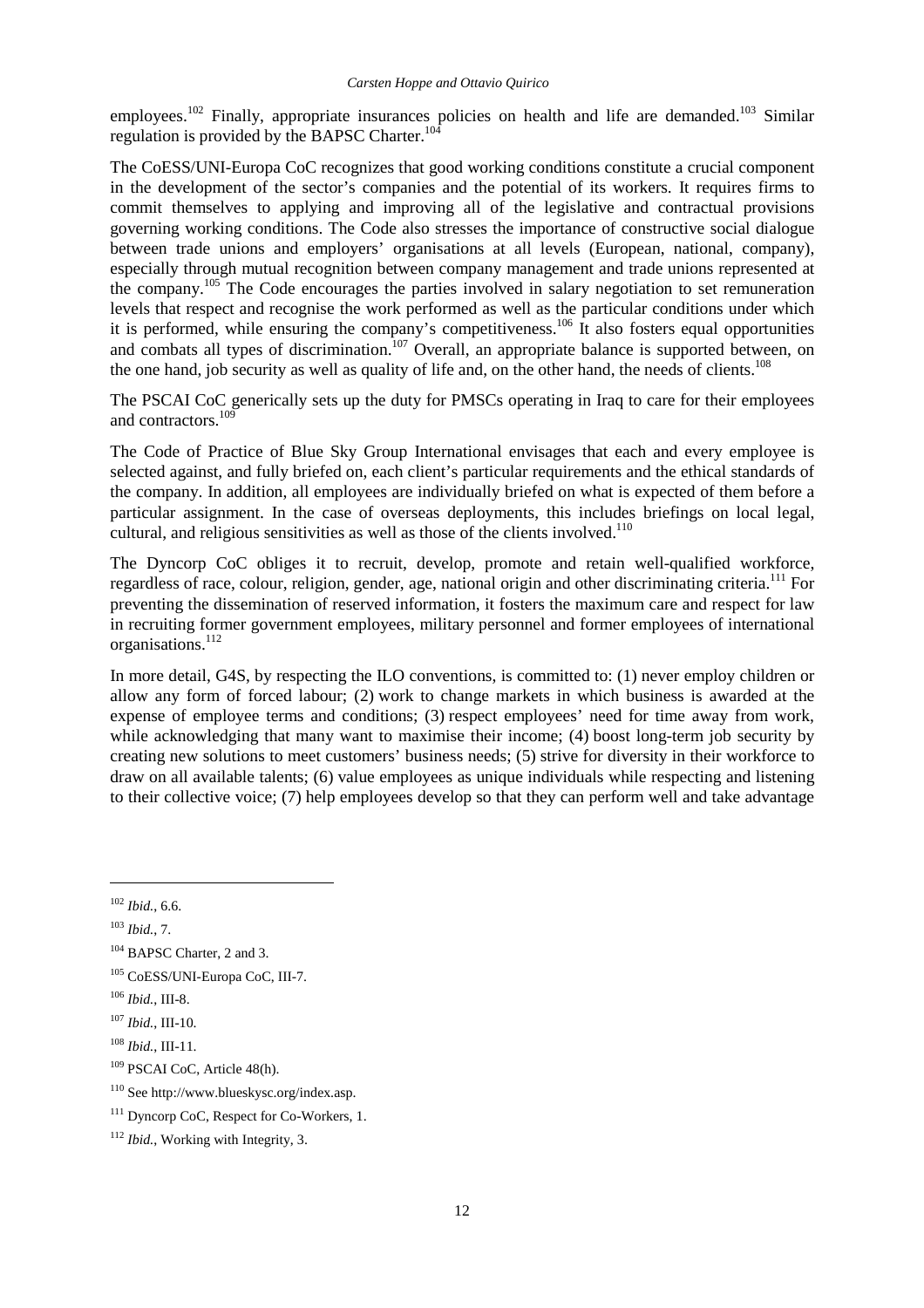employees.<sup>102</sup> Finally, appropriate insurances policies on health and life are demanded.<sup>103</sup> Similar regulation is provided by the BAPSC Charter.<sup>104</sup>

The CoESS/UNI-Europa CoC recognizes that good working conditions constitute a crucial component in the development of the sector's companies and the potential of its workers. It requires firms to commit themselves to applying and improving all of the legislative and contractual provisions governing working conditions. The Code also stresses the importance of constructive social dialogue between trade unions and employers' organisations at all levels (European, national, company), especially through mutual recognition between company management and trade unions represented at the company.<sup>105</sup> The Code encourages the parties involved in salary negotiation to set remuneration levels that respect and recognise the work performed as well as the particular conditions under which it is performed, while ensuring the company's competitiveness.<sup>106</sup> It also fosters equal opportunities and combats all types of discrimination.<sup>107</sup> Overall, an appropriate balance is supported between, on the one hand, job security as well as quality of life and, on the other hand, the needs of clients.<sup>108</sup>

The PSCAI CoC generically sets up the duty for PMSCs operating in Iraq to care for their employees and contractors.<sup>10</sup>

The Code of Practice of Blue Sky Group International envisages that each and every employee is selected against, and fully briefed on, each client's particular requirements and the ethical standards of the company. In addition, all employees are individually briefed on what is expected of them before a particular assignment. In the case of overseas deployments, this includes briefings on local legal, cultural, and religious sensitivities as well as those of the clients involved.<sup>110</sup>

The Dyncorp CoC obliges it to recruit, develop, promote and retain well-qualified workforce, regardless of race, colour, religion, gender, age, national origin and other discriminating criteria.<sup>111</sup> For preventing the dissemination of reserved information, it fosters the maximum care and respect for law in recruiting former government employees, military personnel and former employees of international organisations.<sup>112</sup>

In more detail, G4S, by respecting the ILO conventions, is committed to: (1) never employ children or allow any form of forced labour; (2) work to change markets in which business is awarded at the expense of employee terms and conditions; (3) respect employees' need for time away from work, while acknowledging that many want to maximise their income; (4) boost long-term job security by creating new solutions to meet customers' business needs; (5) strive for diversity in their workforce to draw on all available talents; (6) value employees as unique individuals while respecting and listening to their collective voice; (7) help employees develop so that they can perform well and take advantage

<sup>102</sup> *Ibid.*, 6.6.

<sup>103</sup> *Ibid.*, 7.

<sup>&</sup>lt;sup>104</sup> BAPSC Charter, 2 and 3.

<sup>105</sup> CoESS/UNI-Europa CoC, III-7.

<sup>106</sup> *Ibid.*, III-8.

<sup>107</sup> *Ibid.*, III-10.

<sup>108</sup> *Ibid.*, III-11.

<sup>109</sup> PSCAI CoC, Article 48(h).

<sup>110</sup> See http://www.blueskysc.org/index.asp.

<sup>&</sup>lt;sup>111</sup> Dyncorp CoC, Respect for Co-Workers, 1.

<sup>112</sup> *Ibid.*, Working with Integrity, 3.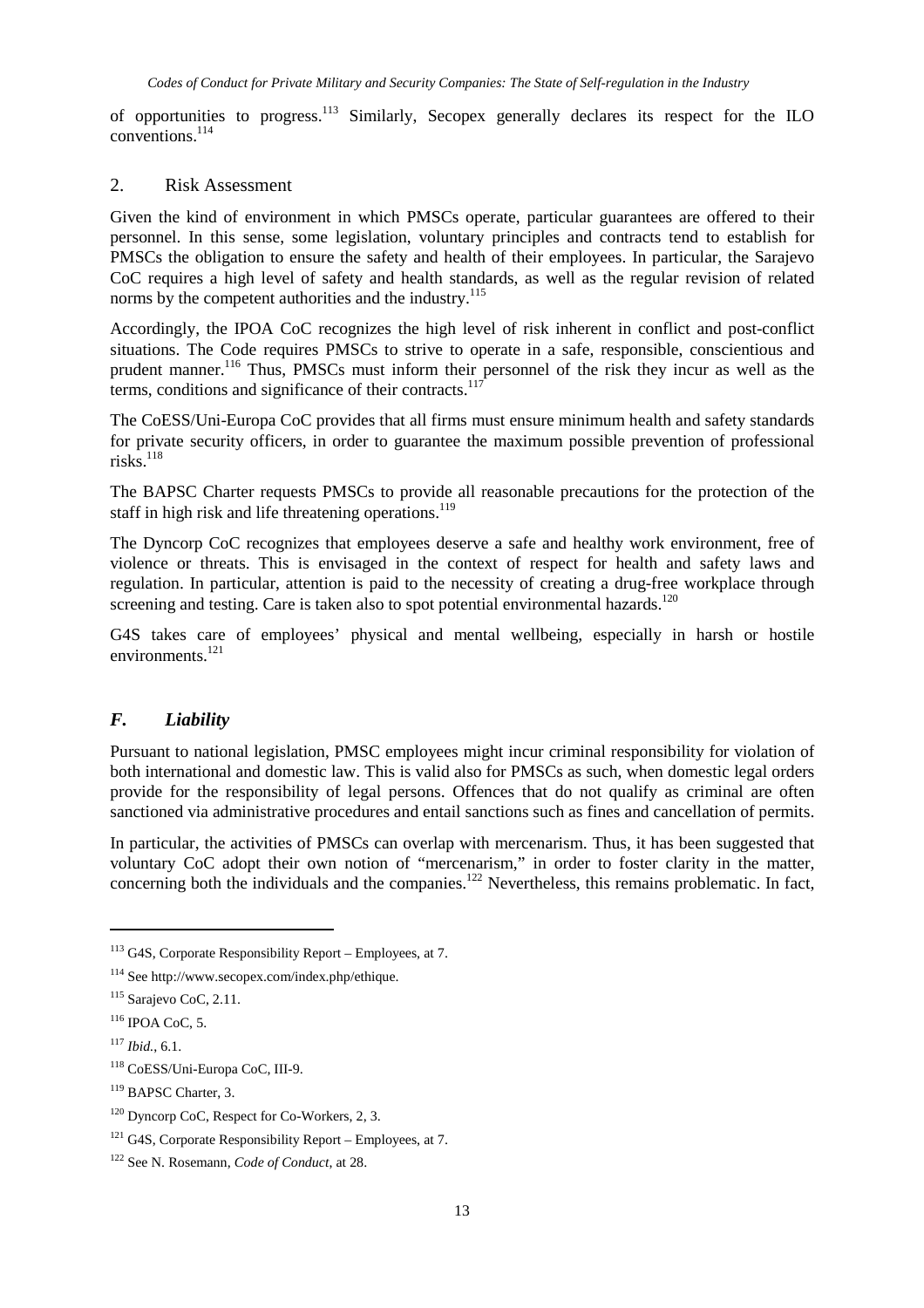of opportunities to progress.<sup>113</sup> Similarly, Secopex generally declares its respect for the ILO conventions<sup>114</sup>

#### 2. Risk Assessment

Given the kind of environment in which PMSCs operate, particular guarantees are offered to their personnel. In this sense, some legislation, voluntary principles and contracts tend to establish for PMSCs the obligation to ensure the safety and health of their employees. In particular, the Sarajevo CoC requires a high level of safety and health standards, as well as the regular revision of related norms by the competent authorities and the industry.<sup>115</sup>

Accordingly, the IPOA CoC recognizes the high level of risk inherent in conflict and post-conflict situations. The Code requires PMSCs to strive to operate in a safe, responsible, conscientious and prudent manner.<sup>116</sup> Thus, PMSCs must inform their personnel of the risk they incur as well as the terms, conditions and significance of their contracts. $117$ 

The CoESS/Uni-Europa CoC provides that all firms must ensure minimum health and safety standards for private security officers, in order to guarantee the maximum possible prevention of professional risks. $118$ 

The BAPSC Charter requests PMSCs to provide all reasonable precautions for the protection of the staff in high risk and life threatening operations.<sup>119</sup>

The Dyncorp CoC recognizes that employees deserve a safe and healthy work environment, free of violence or threats. This is envisaged in the context of respect for health and safety laws and regulation. In particular, attention is paid to the necessity of creating a drug-free workplace through screening and testing. Care is taken also to spot potential environmental hazards.<sup>120</sup>

G4S takes care of employees' physical and mental wellbeing, especially in harsh or hostile environments.<sup>121</sup>

#### *F. Liability*

Pursuant to national legislation, PMSC employees might incur criminal responsibility for violation of both international and domestic law. This is valid also for PMSCs as such, when domestic legal orders provide for the responsibility of legal persons. Offences that do not qualify as criminal are often sanctioned via administrative procedures and entail sanctions such as fines and cancellation of permits.

In particular, the activities of PMSCs can overlap with mercenarism. Thus, it has been suggested that voluntary CoC adopt their own notion of "mercenarism," in order to foster clarity in the matter, concerning both the individuals and the companies.<sup>122</sup> Nevertheless, this remains problematic. In fact,

 $113$  G4S, Corporate Responsibility Report – Employees, at 7.

<sup>114</sup> See http://www.secopex.com/index.php/ethique.

 $115$  Sarajevo CoC, 2.11.

 $116$  IPOA CoC, 5.

<sup>117</sup> *Ibid.*, 6.1.

<sup>118</sup> CoESS/Uni-Europa CoC, III-9.

<sup>&</sup>lt;sup>119</sup> BAPSC Charter, 3.

 $120$  Dyncorp CoC, Respect for Co-Workers, 2, 3.

 $121$  G4S, Corporate Responsibility Report – Employees, at 7.

<sup>122</sup> See N. Rosemann, *Code of Conduct*, at 28.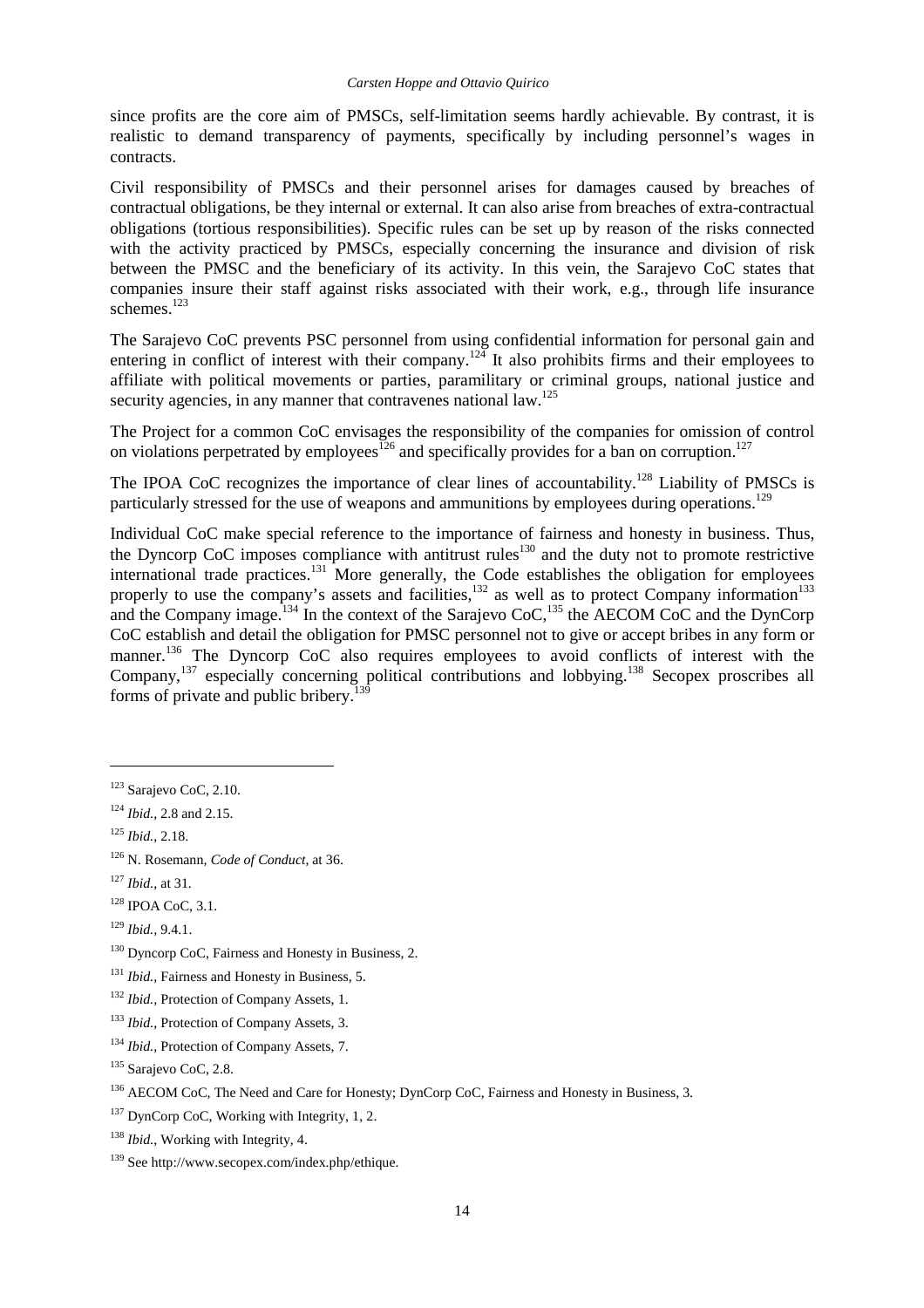since profits are the core aim of PMSCs, self-limitation seems hardly achievable. By contrast, it is realistic to demand transparency of payments, specifically by including personnel's wages in contracts.

Civil responsibility of PMSCs and their personnel arises for damages caused by breaches of contractual obligations, be they internal or external. It can also arise from breaches of extra-contractual obligations (tortious responsibilities). Specific rules can be set up by reason of the risks connected with the activity practiced by PMSCs, especially concerning the insurance and division of risk between the PMSC and the beneficiary of its activity. In this vein, the Sarajevo CoC states that companies insure their staff against risks associated with their work, e.g., through life insurance schemes.<sup>123</sup>

The Sarajevo CoC prevents PSC personnel from using confidential information for personal gain and entering in conflict of interest with their company.<sup>124</sup> It also prohibits firms and their employees to affiliate with political movements or parties, paramilitary or criminal groups, national justice and security agencies, in any manner that contravenes national law.<sup>125</sup>

The Project for a common CoC envisages the responsibility of the companies for omission of control on violations perpetrated by employees<sup>126</sup> and specifically provides for a ban on corruption.<sup>127</sup>

The IPOA CoC recognizes the importance of clear lines of accountability.<sup>128</sup> Liability of PMSCs is particularly stressed for the use of weapons and ammunitions by employees during operations.<sup>129</sup>

Individual CoC make special reference to the importance of fairness and honesty in business. Thus, the Dyncorp CoC imposes compliance with antitrust rules<sup>130</sup> and the duty not to promote restrictive international trade practices.<sup>131</sup> More generally, the Code establishes the obligation for employees properly to use the company's assets and facilities,  $132$  as well as to protect Company information<sup>133</sup> and the Company image.<sup>134</sup> In the context of the Sarajevo CoC,<sup>135</sup> the AECOM CoC and the DynCorp CoC establish and detail the obligation for PMSC personnel not to give or accept bribes in any form or manner.<sup>136</sup> The Dyncorp CoC also requires employees to avoid conflicts of interest with the Company,<sup>137</sup> especially concerning political contributions and lobbying.<sup>138</sup> Secopex proscribes all forms of private and public bribery.

<sup>&</sup>lt;sup>123</sup> Sarajevo CoC, 2.10.

<sup>124</sup> *Ibid.*, 2.8 and 2.15.

<sup>125</sup> *Ibid.*, 2.18.

<sup>126</sup> N. Rosemann, *Code of Conduct*, at 36.

<sup>127</sup> *Ibid.*, at 31.

 $128$  IPOA CoC, 3.1.

<sup>129</sup> *Ibid.*, 9.4.1.

<sup>&</sup>lt;sup>130</sup> Dyncorp CoC, Fairness and Honesty in Business, 2.

<sup>131</sup> *Ibid.*, Fairness and Honesty in Business, 5.

<sup>&</sup>lt;sup>132</sup> *Ibid.*, Protection of Company Assets, 1.

<sup>133</sup> *Ibid.*, Protection of Company Assets, 3.

<sup>134</sup> *Ibid.*, Protection of Company Assets, 7.

<sup>135</sup> Sarajevo CoC, 2.8.

<sup>&</sup>lt;sup>136</sup> AECOM CoC, The Need and Care for Honesty; DynCorp CoC, Fairness and Honesty in Business, 3.

<sup>&</sup>lt;sup>137</sup> DynCorp CoC, Working with Integrity, 1, 2.

<sup>138</sup> *Ibid.*, Working with Integrity, 4.

<sup>139</sup> See http://www.secopex.com/index.php/ethique.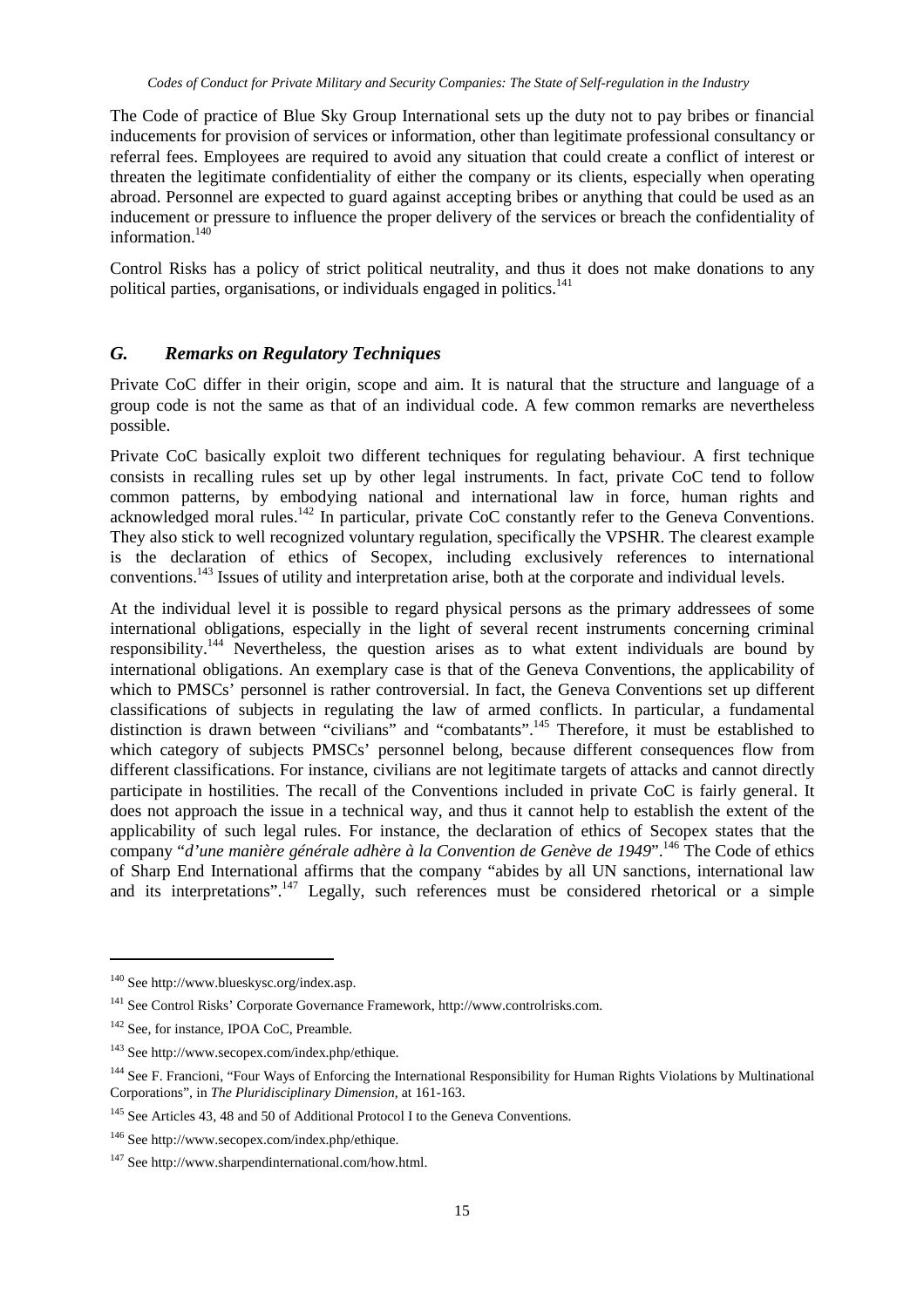The Code of practice of Blue Sky Group International sets up the duty not to pay bribes or financial inducements for provision of services or information, other than legitimate professional consultancy or referral fees. Employees are required to avoid any situation that could create a conflict of interest or threaten the legitimate confidentiality of either the company or its clients, especially when operating abroad. Personnel are expected to guard against accepting bribes or anything that could be used as an inducement or pressure to influence the proper delivery of the services or breach the confidentiality of information.<sup>140</sup>

Control Risks has a policy of strict political neutrality, and thus it does not make donations to any political parties, organisations, or individuals engaged in politics.<sup>141</sup>

#### *G. Remarks on Regulatory Techniques*

Private CoC differ in their origin, scope and aim. It is natural that the structure and language of a group code is not the same as that of an individual code. A few common remarks are nevertheless possible.

Private CoC basically exploit two different techniques for regulating behaviour. A first technique consists in recalling rules set up by other legal instruments. In fact, private CoC tend to follow common patterns, by embodying national and international law in force, human rights and acknowledged moral rules.<sup>142</sup> In particular, private CoC constantly refer to the Geneva Conventions. They also stick to well recognized voluntary regulation, specifically the VPSHR. The clearest example is the declaration of ethics of Secopex, including exclusively references to international conventions.<sup>143</sup> Issues of utility and interpretation arise, both at the corporate and individual levels.

At the individual level it is possible to regard physical persons as the primary addressees of some international obligations, especially in the light of several recent instruments concerning criminal responsibility.<sup>144</sup> Nevertheless, the question arises as to what extent individuals are bound by international obligations. An exemplary case is that of the Geneva Conventions, the applicability of which to PMSCs' personnel is rather controversial. In fact, the Geneva Conventions set up different classifications of subjects in regulating the law of armed conflicts. In particular, a fundamental distinction is drawn between "civilians" and "combatants".<sup>145</sup> Therefore, it must be established to which category of subjects PMSCs' personnel belong, because different consequences flow from different classifications. For instance, civilians are not legitimate targets of attacks and cannot directly participate in hostilities. The recall of the Conventions included in private CoC is fairly general. It does not approach the issue in a technical way, and thus it cannot help to establish the extent of the applicability of such legal rules. For instance, the declaration of ethics of Secopex states that the company "*d'une manière générale adhère à la Convention de Genève de 1949*".<sup>146</sup> The Code of ethics of Sharp End International affirms that the company "abides by all UN sanctions, international law and its interpretations".<sup>147</sup> Legally, such references must be considered rhetorical or a simple

<sup>140</sup> See http://www.blueskysc.org/index.asp.

<sup>141</sup> See Control Risks' Corporate Governance Framework, http://www.controlrisks.com.

<sup>&</sup>lt;sup>142</sup> See, for instance, IPOA CoC, Preamble.

<sup>143</sup> See http://www.secopex.com/index.php/ethique.

<sup>&</sup>lt;sup>144</sup> See F. Francioni, "Four Ways of Enforcing the International Responsibility for Human Rights Violations by Multinational Corporations", in *The Pluridisciplinary Dimension*, at 161-163.

<sup>&</sup>lt;sup>145</sup> See Articles 43, 48 and 50 of Additional Protocol I to the Geneva Conventions.

<sup>146</sup> See http://www.secopex.com/index.php/ethique.

<sup>&</sup>lt;sup>147</sup> See http://www.sharpendinternational.com/how.html.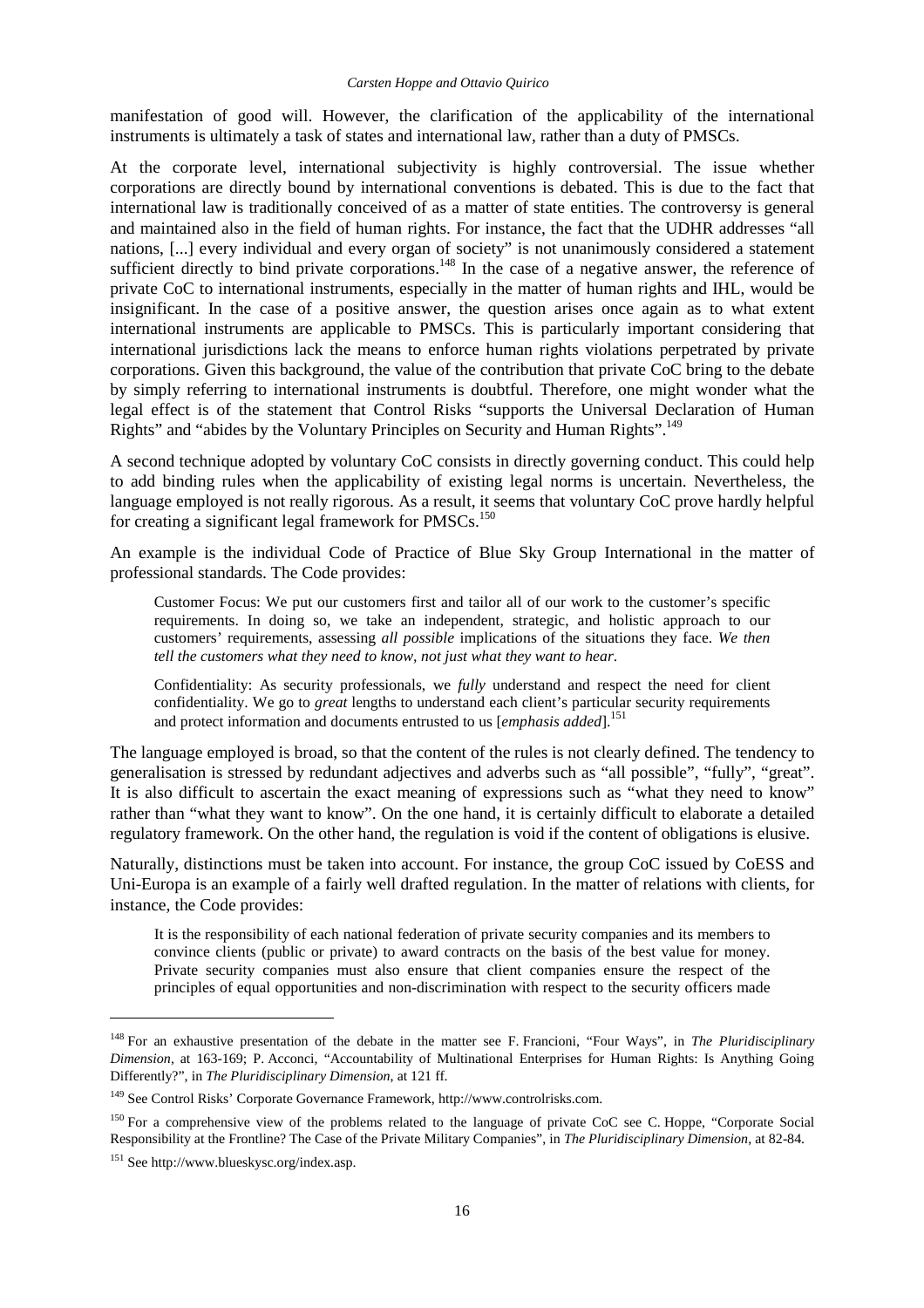manifestation of good will. However, the clarification of the applicability of the international instruments is ultimately a task of states and international law, rather than a duty of PMSCs.

At the corporate level, international subjectivity is highly controversial. The issue whether corporations are directly bound by international conventions is debated. This is due to the fact that international law is traditionally conceived of as a matter of state entities. The controversy is general and maintained also in the field of human rights. For instance, the fact that the UDHR addresses "all nations, [...] every individual and every organ of society" is not unanimously considered a statement sufficient directly to bind private corporations.<sup>148</sup> In the case of a negative answer, the reference of private CoC to international instruments, especially in the matter of human rights and IHL, would be insignificant. In the case of a positive answer, the question arises once again as to what extent international instruments are applicable to PMSCs. This is particularly important considering that international jurisdictions lack the means to enforce human rights violations perpetrated by private corporations. Given this background, the value of the contribution that private CoC bring to the debate by simply referring to international instruments is doubtful. Therefore, one might wonder what the legal effect is of the statement that Control Risks "supports the Universal Declaration of Human Rights" and "abides by the Voluntary Principles on Security and Human Rights".<sup>149</sup>

A second technique adopted by voluntary CoC consists in directly governing conduct. This could help to add binding rules when the applicability of existing legal norms is uncertain. Nevertheless, the language employed is not really rigorous. As a result, it seems that voluntary CoC prove hardly helpful for creating a significant legal framework for PMSCs.<sup>150</sup>

An example is the individual Code of Practice of Blue Sky Group International in the matter of professional standards. The Code provides:

Customer Focus: We put our customers first and tailor all of our work to the customer's specific requirements. In doing so, we take an independent, strategic, and holistic approach to our customers' requirements, assessing *all possible* implications of the situations they face. *We then tell the customers what they need to know, not just what they want to hear*.

Confidentiality: As security professionals, we *fully* understand and respect the need for client confidentiality. We go to *great* lengths to understand each client's particular security requirements and protect information and documents entrusted to us [*emphasis added*].<sup>151</sup>

The language employed is broad, so that the content of the rules is not clearly defined. The tendency to generalisation is stressed by redundant adjectives and adverbs such as "all possible", "fully", "great". It is also difficult to ascertain the exact meaning of expressions such as "what they need to know" rather than "what they want to know". On the one hand, it is certainly difficult to elaborate a detailed regulatory framework. On the other hand, the regulation is void if the content of obligations is elusive.

Naturally, distinctions must be taken into account. For instance, the group CoC issued by CoESS and Uni-Europa is an example of a fairly well drafted regulation. In the matter of relations with clients, for instance, the Code provides:

It is the responsibility of each national federation of private security companies and its members to convince clients (public or private) to award contracts on the basis of the best value for money. Private security companies must also ensure that client companies ensure the respect of the principles of equal opportunities and non-discrimination with respect to the security officers made

<sup>148</sup> For an exhaustive presentation of the debate in the matter see F. Francioni, "Four Ways", in *The Pluridisciplinary Dimension*, at 163-169; P. Acconci, "Accountability of Multinational Enterprises for Human Rights: Is Anything Going Differently?", in *The Pluridisciplinary Dimension*, at 121 ff.

<sup>149</sup> See Control Risks' Corporate Governance Framework, http://www.controlrisks.com.

<sup>&</sup>lt;sup>150</sup> For a comprehensive view of the problems related to the language of private CoC see C. Hoppe, "Corporate Social Responsibility at the Frontline? The Case of the Private Military Companies", in *The Pluridisciplinary Dimension*, at 82-84.

<sup>151</sup> See http://www.blueskysc.org/index.asp.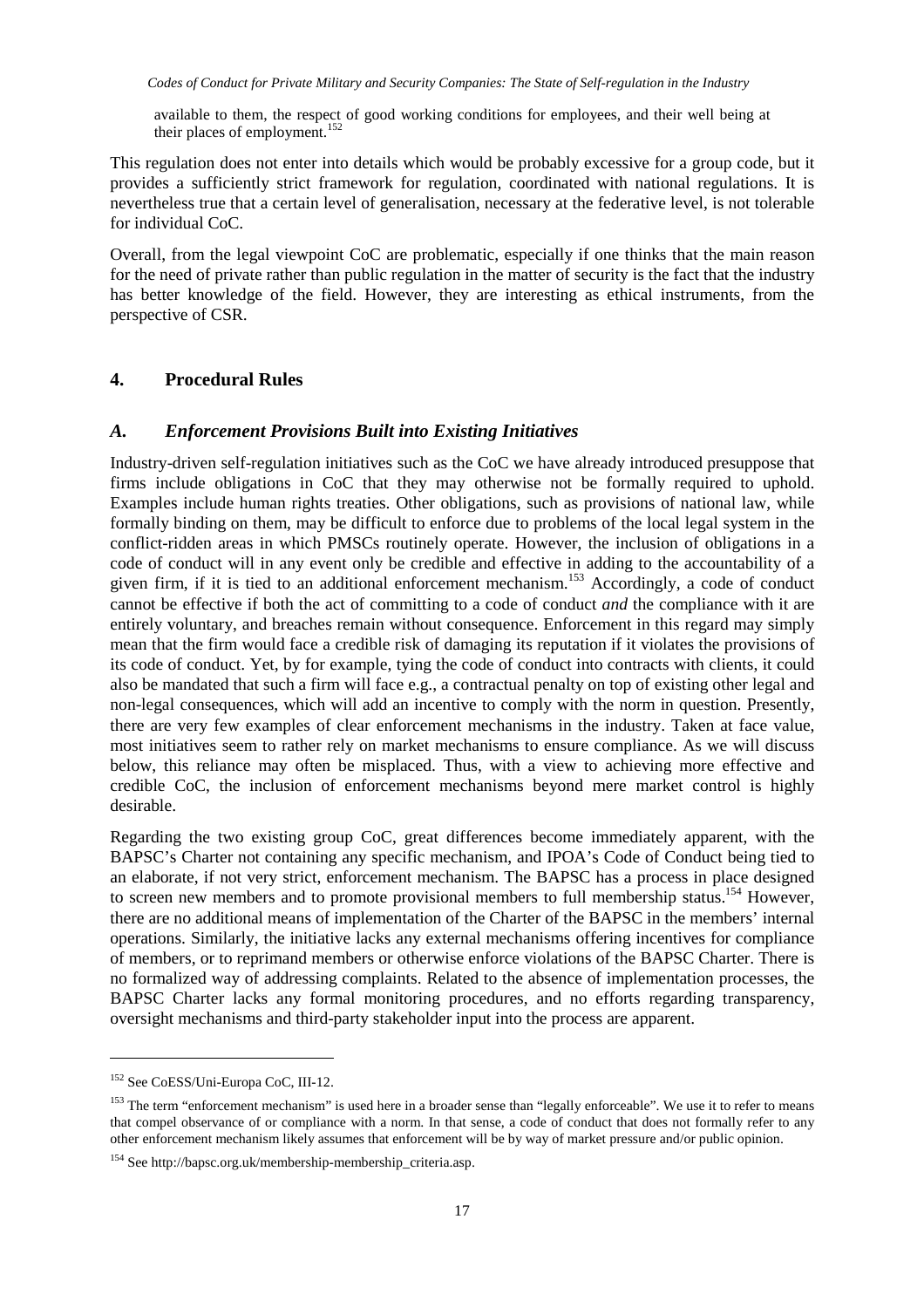available to them, the respect of good working conditions for employees, and their well being at their places of employment.<sup>152</sup>

This regulation does not enter into details which would be probably excessive for a group code, but it provides a sufficiently strict framework for regulation, coordinated with national regulations. It is nevertheless true that a certain level of generalisation, necessary at the federative level, is not tolerable for individual CoC.

Overall, from the legal viewpoint CoC are problematic, especially if one thinks that the main reason for the need of private rather than public regulation in the matter of security is the fact that the industry has better knowledge of the field. However, they are interesting as ethical instruments, from the perspective of CSR.

#### **4. Procedural Rules**

#### *A. Enforcement Provisions Built into Existing Initiatives*

Industry-driven self-regulation initiatives such as the CoC we have already introduced presuppose that firms include obligations in CoC that they may otherwise not be formally required to uphold. Examples include human rights treaties. Other obligations, such as provisions of national law, while formally binding on them, may be difficult to enforce due to problems of the local legal system in the conflict-ridden areas in which PMSCs routinely operate. However, the inclusion of obligations in a code of conduct will in any event only be credible and effective in adding to the accountability of a given firm, if it is tied to an additional enforcement mechanism.<sup>153</sup> Accordingly, a code of conduct cannot be effective if both the act of committing to a code of conduct *and* the compliance with it are entirely voluntary, and breaches remain without consequence. Enforcement in this regard may simply mean that the firm would face a credible risk of damaging its reputation if it violates the provisions of its code of conduct. Yet, by for example, tying the code of conduct into contracts with clients, it could also be mandated that such a firm will face e.g., a contractual penalty on top of existing other legal and non-legal consequences, which will add an incentive to comply with the norm in question. Presently, there are very few examples of clear enforcement mechanisms in the industry. Taken at face value, most initiatives seem to rather rely on market mechanisms to ensure compliance. As we will discuss below, this reliance may often be misplaced. Thus, with a view to achieving more effective and credible CoC, the inclusion of enforcement mechanisms beyond mere market control is highly desirable.

Regarding the two existing group CoC, great differences become immediately apparent, with the BAPSC's Charter not containing any specific mechanism, and IPOA's Code of Conduct being tied to an elaborate, if not very strict, enforcement mechanism. The BAPSC has a process in place designed to screen new members and to promote provisional members to full membership status.<sup>154</sup> However, there are no additional means of implementation of the Charter of the BAPSC in the members' internal operations. Similarly, the initiative lacks any external mechanisms offering incentives for compliance of members, or to reprimand members or otherwise enforce violations of the BAPSC Charter. There is no formalized way of addressing complaints. Related to the absence of implementation processes, the BAPSC Charter lacks any formal monitoring procedures, and no efforts regarding transparency, oversight mechanisms and third-party stakeholder input into the process are apparent.

<sup>152</sup> See CoESS/Uni-Europa CoC, III-12.

<sup>&</sup>lt;sup>153</sup> The term "enforcement mechanism" is used here in a broader sense than "legally enforceable". We use it to refer to means that compel observance of or compliance with a norm. In that sense, a code of conduct that does not formally refer to any other enforcement mechanism likely assumes that enforcement will be by way of market pressure and/or public opinion.

<sup>154</sup> See http://bapsc.org.uk/membership-membership\_criteria.asp.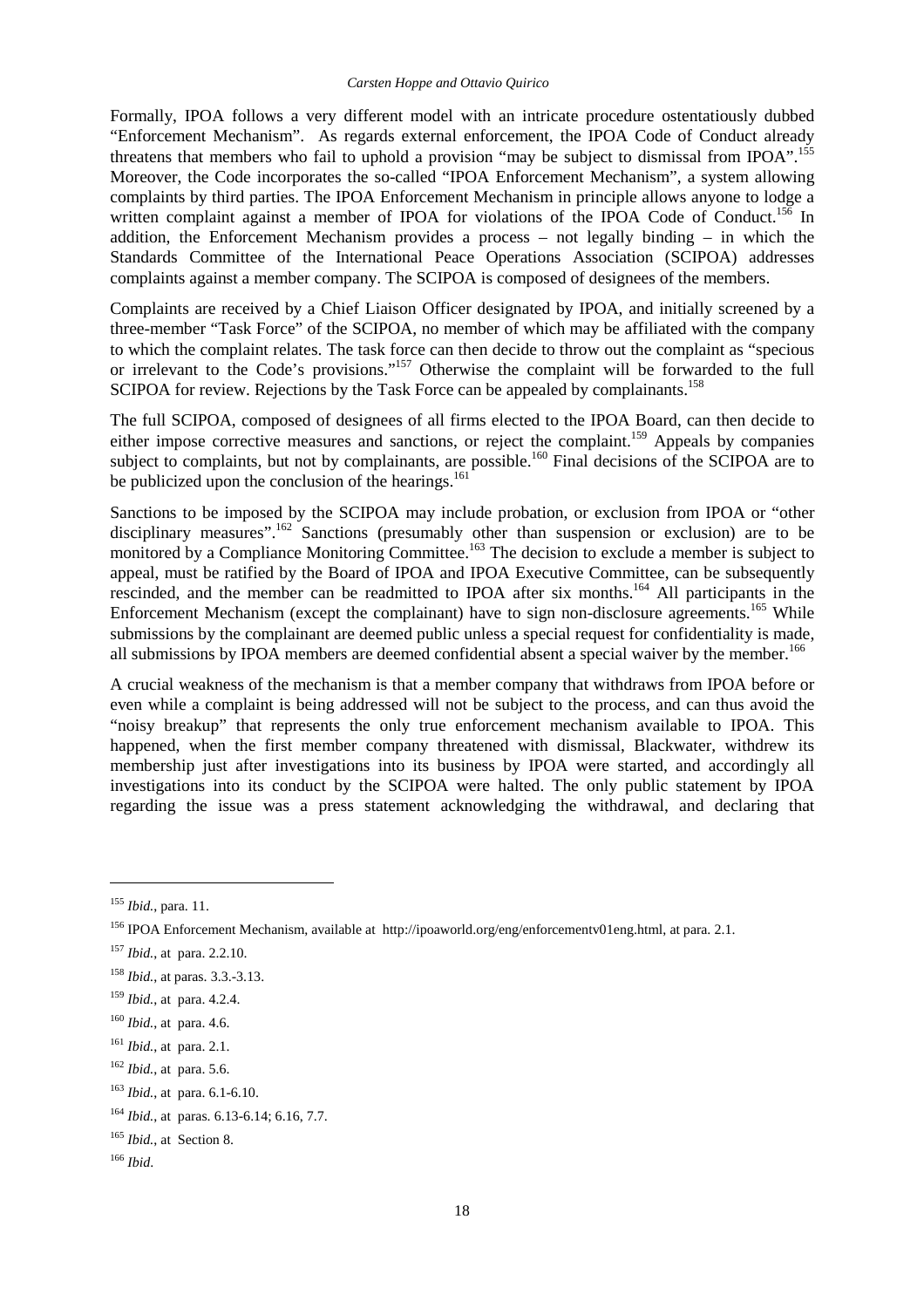Formally, IPOA follows a very different model with an intricate procedure ostentatiously dubbed "Enforcement Mechanism". As regards external enforcement, the IPOA Code of Conduct already threatens that members who fail to uphold a provision "may be subject to dismissal from IPOA".<sup>155</sup> Moreover, the Code incorporates the so-called "IPOA Enforcement Mechanism", a system allowing complaints by third parties. The IPOA Enforcement Mechanism in principle allows anyone to lodge a written complaint against a member of IPOA for violations of the IPOA Code of Conduct.<sup>156</sup> In addition, the Enforcement Mechanism provides a process – not legally binding – in which the Standards Committee of the International Peace Operations Association (SCIPOA) addresses complaints against a member company. The SCIPOA is composed of designees of the members.

Complaints are received by a Chief Liaison Officer designated by IPOA, and initially screened by a three-member "Task Force" of the SCIPOA, no member of which may be affiliated with the company to which the complaint relates. The task force can then decide to throw out the complaint as "specious or irrelevant to the Code's provisions."<sup>157</sup> Otherwise the complaint will be forwarded to the full SCIPOA for review. Rejections by the Task Force can be appealed by complainants.<sup>158</sup>

The full SCIPOA, composed of designees of all firms elected to the IPOA Board, can then decide to either impose corrective measures and sanctions, or reject the complaint.<sup>159</sup> Appeals by companies subject to complaints, but not by complainants, are possible.<sup>160</sup> Final decisions of the SCIPOA are to be publicized upon the conclusion of the hearings.<sup>161</sup>

Sanctions to be imposed by the SCIPOA may include probation, or exclusion from IPOA or "other disciplinary measures".<sup>162</sup> Sanctions (presumably other than suspension or exclusion) are to be monitored by a Compliance Monitoring Committee.<sup>163</sup> The decision to exclude a member is subject to appeal, must be ratified by the Board of IPOA and IPOA Executive Committee, can be subsequently rescinded, and the member can be readmitted to IPOA after six months.<sup>164</sup> All participants in the Enforcement Mechanism (except the complainant) have to sign non-disclosure agreements.<sup>165</sup> While submissions by the complainant are deemed public unless a special request for confidentiality is made, all submissions by IPOA members are deemed confidential absent a special waiver by the member.<sup>166</sup>

A crucial weakness of the mechanism is that a member company that withdraws from IPOA before or even while a complaint is being addressed will not be subject to the process, and can thus avoid the "noisy breakup" that represents the only true enforcement mechanism available to IPOA. This happened, when the first member company threatened with dismissal, Blackwater, withdrew its membership just after investigations into its business by IPOA were started, and accordingly all investigations into its conduct by the SCIPOA were halted. The only public statement by IPOA regarding the issue was a press statement acknowledging the withdrawal, and declaring that

<sup>155</sup> *Ibid.*, para. 11.

<sup>156</sup> IPOA Enforcement Mechanism, available at http://ipoaworld.org/eng/enforcementv01eng.html, at para. 2.1.

<sup>157</sup> *Ibid.*, at para. 2.2.10.

<sup>158</sup> *Ibid.*, at paras. 3.3.-3.13.

<sup>159</sup> *Ibid.*, at para. 4.2.4.

<sup>160</sup> *Ibid.*, at para. 4.6.

<sup>161</sup> *Ibid.*, at para. 2.1.

<sup>162</sup> *Ibid.*, at para. 5.6.

<sup>163</sup> *Ibid.*, at para. 6.1-6.10.

<sup>164</sup> *Ibid.*, at paras. 6.13-6.14; 6.16, 7.7.

<sup>165</sup> *Ibid.*, at Section 8.

<sup>166</sup> *Ibid*.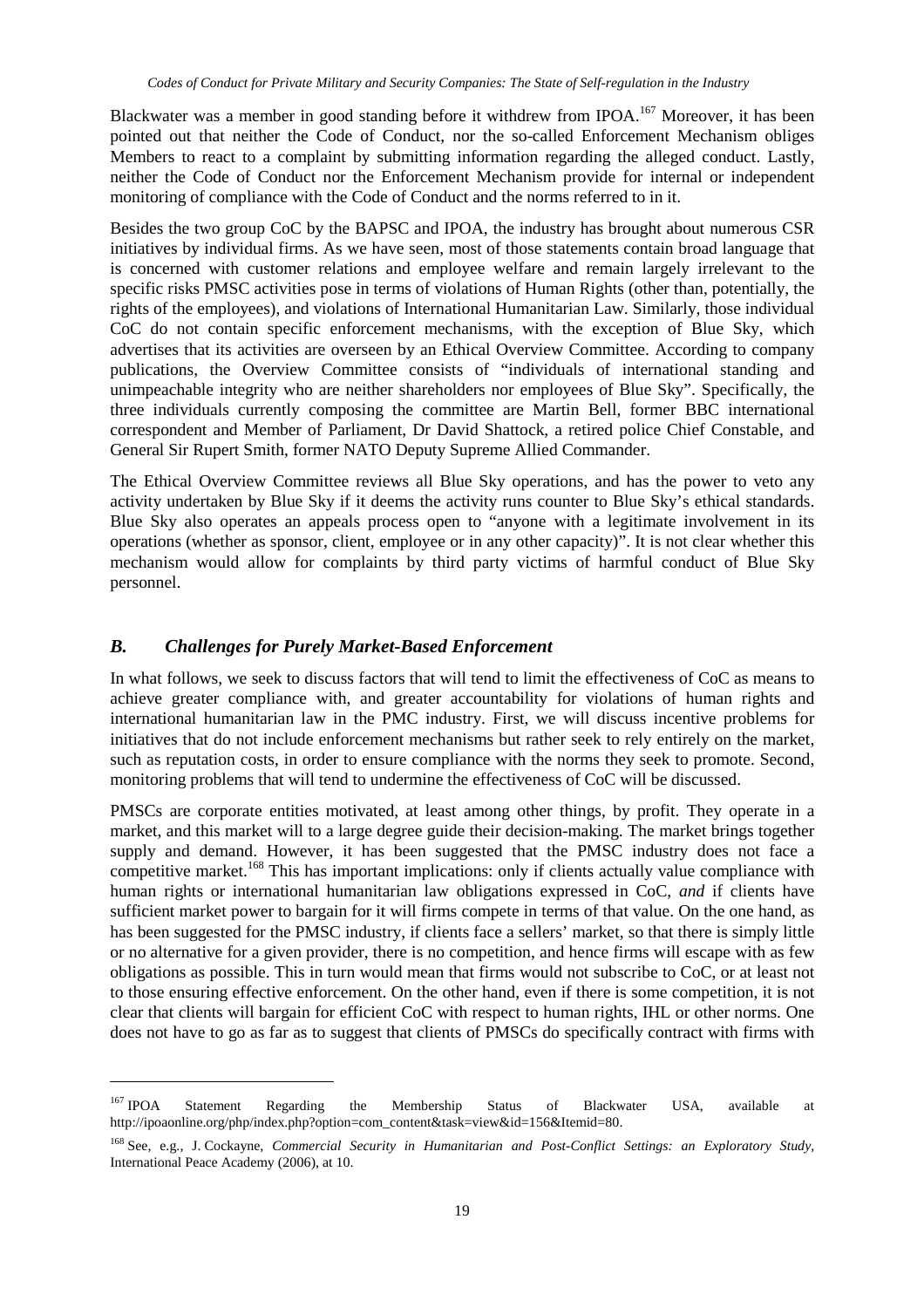Blackwater was a member in good standing before it withdrew from IPOA.<sup>167</sup> Moreover, it has been pointed out that neither the Code of Conduct, nor the so-called Enforcement Mechanism obliges Members to react to a complaint by submitting information regarding the alleged conduct. Lastly, neither the Code of Conduct nor the Enforcement Mechanism provide for internal or independent monitoring of compliance with the Code of Conduct and the norms referred to in it.

Besides the two group CoC by the BAPSC and IPOA, the industry has brought about numerous CSR initiatives by individual firms. As we have seen, most of those statements contain broad language that is concerned with customer relations and employee welfare and remain largely irrelevant to the specific risks PMSC activities pose in terms of violations of Human Rights (other than, potentially, the rights of the employees), and violations of International Humanitarian Law. Similarly, those individual CoC do not contain specific enforcement mechanisms, with the exception of Blue Sky, which advertises that its activities are overseen by an Ethical Overview Committee. According to company publications, the Overview Committee consists of "individuals of international standing and unimpeachable integrity who are neither shareholders nor employees of Blue Sky". Specifically, the three individuals currently composing the committee are Martin Bell, former BBC international correspondent and Member of Parliament, Dr David Shattock, a retired police Chief Constable, and General Sir Rupert Smith, former NATO Deputy Supreme Allied Commander.

The Ethical Overview Committee reviews all Blue Sky operations, and has the power to veto any activity undertaken by Blue Sky if it deems the activity runs counter to Blue Sky's ethical standards. Blue Sky also operates an appeals process open to "anyone with a legitimate involvement in its operations (whether as sponsor, client, employee or in any other capacity)". It is not clear whether this mechanism would allow for complaints by third party victims of harmful conduct of Blue Sky personnel.

#### *B. Challenges for Purely Market-Based Enforcement*

 $\overline{a}$ 

In what follows, we seek to discuss factors that will tend to limit the effectiveness of CoC as means to achieve greater compliance with, and greater accountability for violations of human rights and international humanitarian law in the PMC industry. First, we will discuss incentive problems for initiatives that do not include enforcement mechanisms but rather seek to rely entirely on the market, such as reputation costs, in order to ensure compliance with the norms they seek to promote. Second, monitoring problems that will tend to undermine the effectiveness of CoC will be discussed.

PMSCs are corporate entities motivated, at least among other things, by profit. They operate in a market, and this market will to a large degree guide their decision-making. The market brings together supply and demand. However, it has been suggested that the PMSC industry does not face a competitive market.<sup>168</sup> This has important implications: only if clients actually value compliance with human rights or international humanitarian law obligations expressed in CoC, *and* if clients have sufficient market power to bargain for it will firms compete in terms of that value. On the one hand, as has been suggested for the PMSC industry, if clients face a sellers' market, so that there is simply little or no alternative for a given provider, there is no competition, and hence firms will escape with as few obligations as possible. This in turn would mean that firms would not subscribe to CoC, or at least not to those ensuring effective enforcement. On the other hand, even if there is some competition, it is not clear that clients will bargain for efficient CoC with respect to human rights, IHL or other norms. One does not have to go as far as to suggest that clients of PMSCs do specifically contract with firms with

<sup>&</sup>lt;sup>167</sup> IPOA Statement Regarding the Membership Status of Blackwater USA, available at http://ipoaonline.org/php/index.php?option=com\_content&task=view&id=156&Itemid=80.

<sup>168</sup> See, e.g., J. Cockayne, *Commercial Security in Humanitarian and Post-Conflict Settings: an Exploratory Study,*  International Peace Academy (2006), at 10.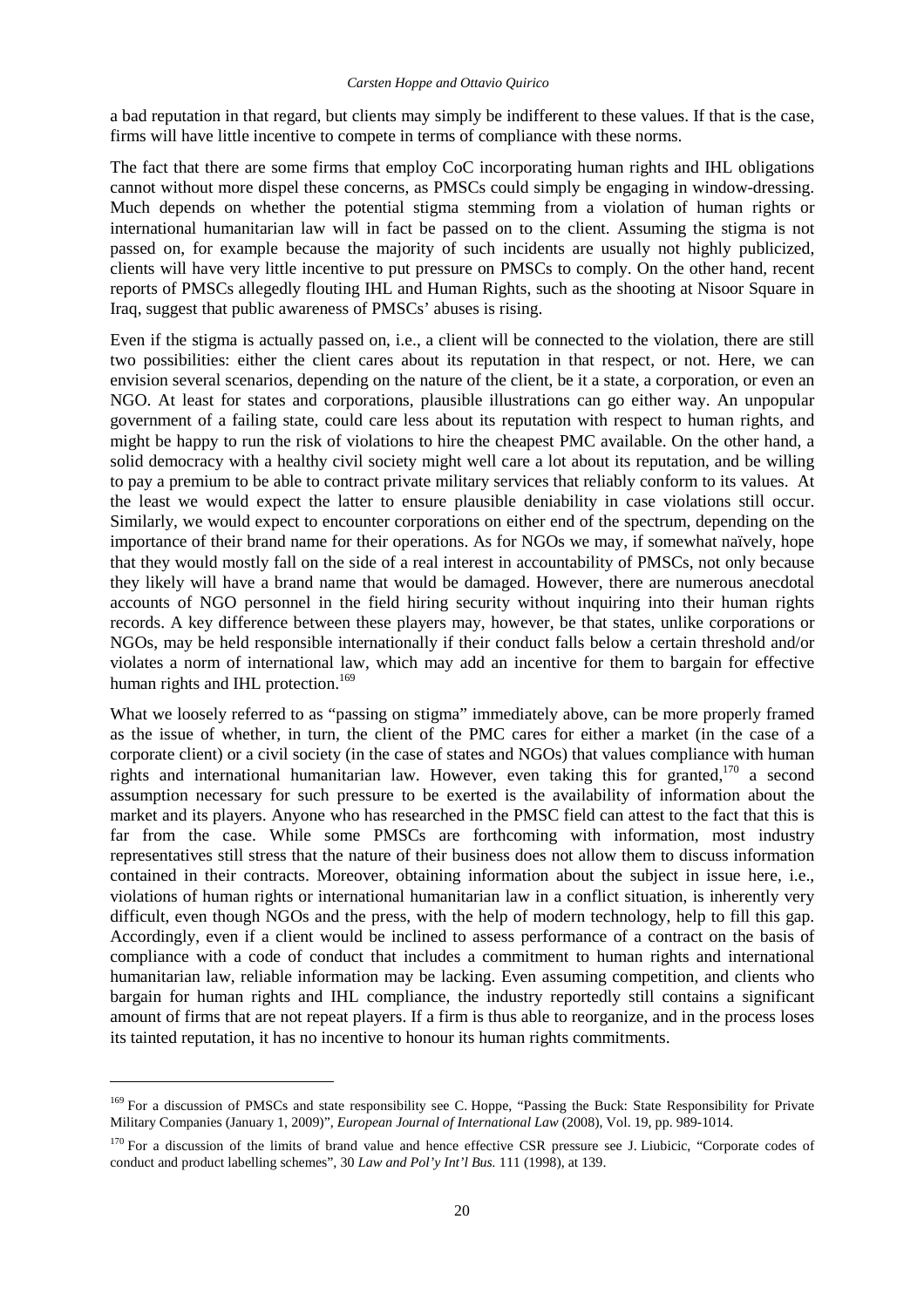#### *Carsten Hoppe and Ottavio Quirico*

a bad reputation in that regard, but clients may simply be indifferent to these values. If that is the case, firms will have little incentive to compete in terms of compliance with these norms.

The fact that there are some firms that employ CoC incorporating human rights and IHL obligations cannot without more dispel these concerns, as PMSCs could simply be engaging in window-dressing. Much depends on whether the potential stigma stemming from a violation of human rights or international humanitarian law will in fact be passed on to the client. Assuming the stigma is not passed on, for example because the majority of such incidents are usually not highly publicized, clients will have very little incentive to put pressure on PMSCs to comply. On the other hand, recent reports of PMSCs allegedly flouting IHL and Human Rights, such as the shooting at Nisoor Square in Iraq, suggest that public awareness of PMSCs' abuses is rising.

Even if the stigma is actually passed on, i.e., a client will be connected to the violation, there are still two possibilities: either the client cares about its reputation in that respect, or not. Here, we can envision several scenarios, depending on the nature of the client, be it a state, a corporation, or even an NGO. At least for states and corporations, plausible illustrations can go either way. An unpopular government of a failing state, could care less about its reputation with respect to human rights, and might be happy to run the risk of violations to hire the cheapest PMC available. On the other hand, a solid democracy with a healthy civil society might well care a lot about its reputation, and be willing to pay a premium to be able to contract private military services that reliably conform to its values. At the least we would expect the latter to ensure plausible deniability in case violations still occur. Similarly, we would expect to encounter corporations on either end of the spectrum, depending on the importance of their brand name for their operations. As for NGOs we may, if somewhat naïvely, hope that they would mostly fall on the side of a real interest in accountability of PMSCs, not only because they likely will have a brand name that would be damaged. However, there are numerous anecdotal accounts of NGO personnel in the field hiring security without inquiring into their human rights records. A key difference between these players may, however, be that states, unlike corporations or NGOs, may be held responsible internationally if their conduct falls below a certain threshold and/or violates a norm of international law, which may add an incentive for them to bargain for effective human rights and IHL protection.<sup>169</sup>

What we loosely referred to as "passing on stigma" immediately above, can be more properly framed as the issue of whether, in turn, the client of the PMC cares for either a market (in the case of a corporate client) or a civil society (in the case of states and NGOs) that values compliance with human rights and international humanitarian law. However, even taking this for granted,<sup>170</sup> a second assumption necessary for such pressure to be exerted is the availability of information about the market and its players. Anyone who has researched in the PMSC field can attest to the fact that this is far from the case. While some PMSCs are forthcoming with information, most industry representatives still stress that the nature of their business does not allow them to discuss information contained in their contracts. Moreover, obtaining information about the subject in issue here, i.e., violations of human rights or international humanitarian law in a conflict situation, is inherently very difficult, even though NGOs and the press, with the help of modern technology, help to fill this gap. Accordingly, even if a client would be inclined to assess performance of a contract on the basis of compliance with a code of conduct that includes a commitment to human rights and international humanitarian law, reliable information may be lacking. Even assuming competition, and clients who bargain for human rights and IHL compliance, the industry reportedly still contains a significant amount of firms that are not repeat players. If a firm is thus able to reorganize, and in the process loses its tainted reputation, it has no incentive to honour its human rights commitments.

<sup>&</sup>lt;sup>169</sup> For a discussion of PMSCs and state responsibility see C. Hoppe, "Passing the Buck: State Responsibility for Private Military Companies (January 1, 2009)", *European Journal of International Law* (2008), Vol. 19, pp. 989-1014.

<sup>&</sup>lt;sup>170</sup> For a discussion of the limits of brand value and hence effective CSR pressure see J. Liubicic, "Corporate codes of conduct and product labelling schemes", 30 *Law and Pol'y Int'l Bus.* 111 (1998), at 139.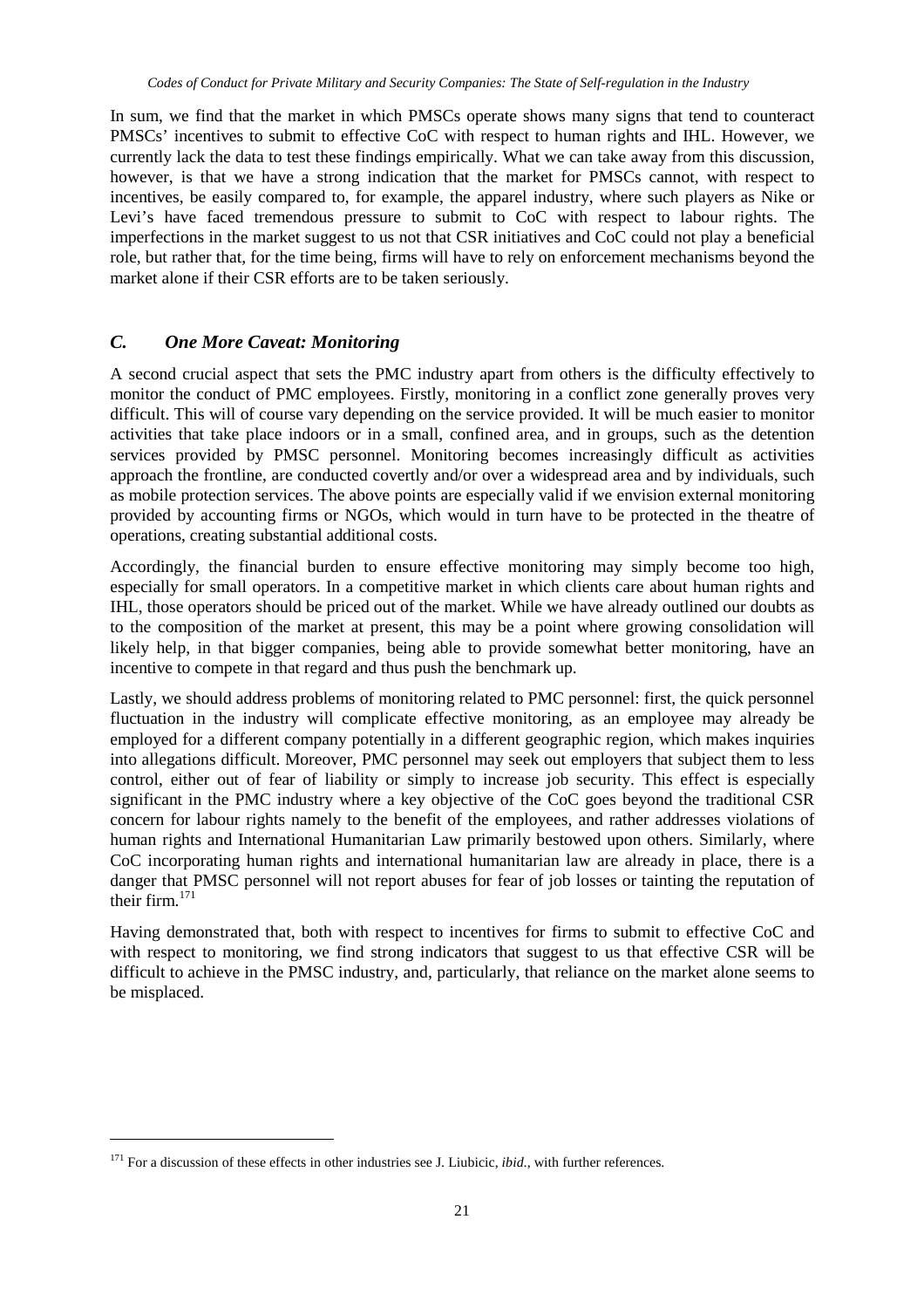In sum, we find that the market in which PMSCs operate shows many signs that tend to counteract PMSCs' incentives to submit to effective CoC with respect to human rights and IHL. However, we currently lack the data to test these findings empirically. What we can take away from this discussion, however, is that we have a strong indication that the market for PMSCs cannot, with respect to incentives, be easily compared to, for example, the apparel industry, where such players as Nike or Levi's have faced tremendous pressure to submit to CoC with respect to labour rights. The imperfections in the market suggest to us not that CSR initiatives and CoC could not play a beneficial role, but rather that, for the time being, firms will have to rely on enforcement mechanisms beyond the market alone if their CSR efforts are to be taken seriously.

#### *C. One More Caveat: Monitoring*

A second crucial aspect that sets the PMC industry apart from others is the difficulty effectively to monitor the conduct of PMC employees. Firstly, monitoring in a conflict zone generally proves very difficult. This will of course vary depending on the service provided. It will be much easier to monitor activities that take place indoors or in a small, confined area, and in groups, such as the detention services provided by PMSC personnel. Monitoring becomes increasingly difficult as activities approach the frontline, are conducted covertly and/or over a widespread area and by individuals, such as mobile protection services. The above points are especially valid if we envision external monitoring provided by accounting firms or NGOs, which would in turn have to be protected in the theatre of operations, creating substantial additional costs.

Accordingly, the financial burden to ensure effective monitoring may simply become too high, especially for small operators. In a competitive market in which clients care about human rights and IHL, those operators should be priced out of the market. While we have already outlined our doubts as to the composition of the market at present, this may be a point where growing consolidation will likely help, in that bigger companies, being able to provide somewhat better monitoring, have an incentive to compete in that regard and thus push the benchmark up.

Lastly, we should address problems of monitoring related to PMC personnel: first, the quick personnel fluctuation in the industry will complicate effective monitoring, as an employee may already be employed for a different company potentially in a different geographic region, which makes inquiries into allegations difficult. Moreover, PMC personnel may seek out employers that subject them to less control, either out of fear of liability or simply to increase job security. This effect is especially significant in the PMC industry where a key objective of the CoC goes beyond the traditional CSR concern for labour rights namely to the benefit of the employees, and rather addresses violations of human rights and International Humanitarian Law primarily bestowed upon others. Similarly, where CoC incorporating human rights and international humanitarian law are already in place, there is a danger that PMSC personnel will not report abuses for fear of job losses or tainting the reputation of their firm.<sup>171</sup>

Having demonstrated that, both with respect to incentives for firms to submit to effective CoC and with respect to monitoring, we find strong indicators that suggest to us that effective CSR will be difficult to achieve in the PMSC industry, and, particularly, that reliance on the market alone seems to be misplaced.

<sup>&</sup>lt;sup>171</sup> For a discussion of these effects in other industries see J. Liubicic, *ibid.*, with further references.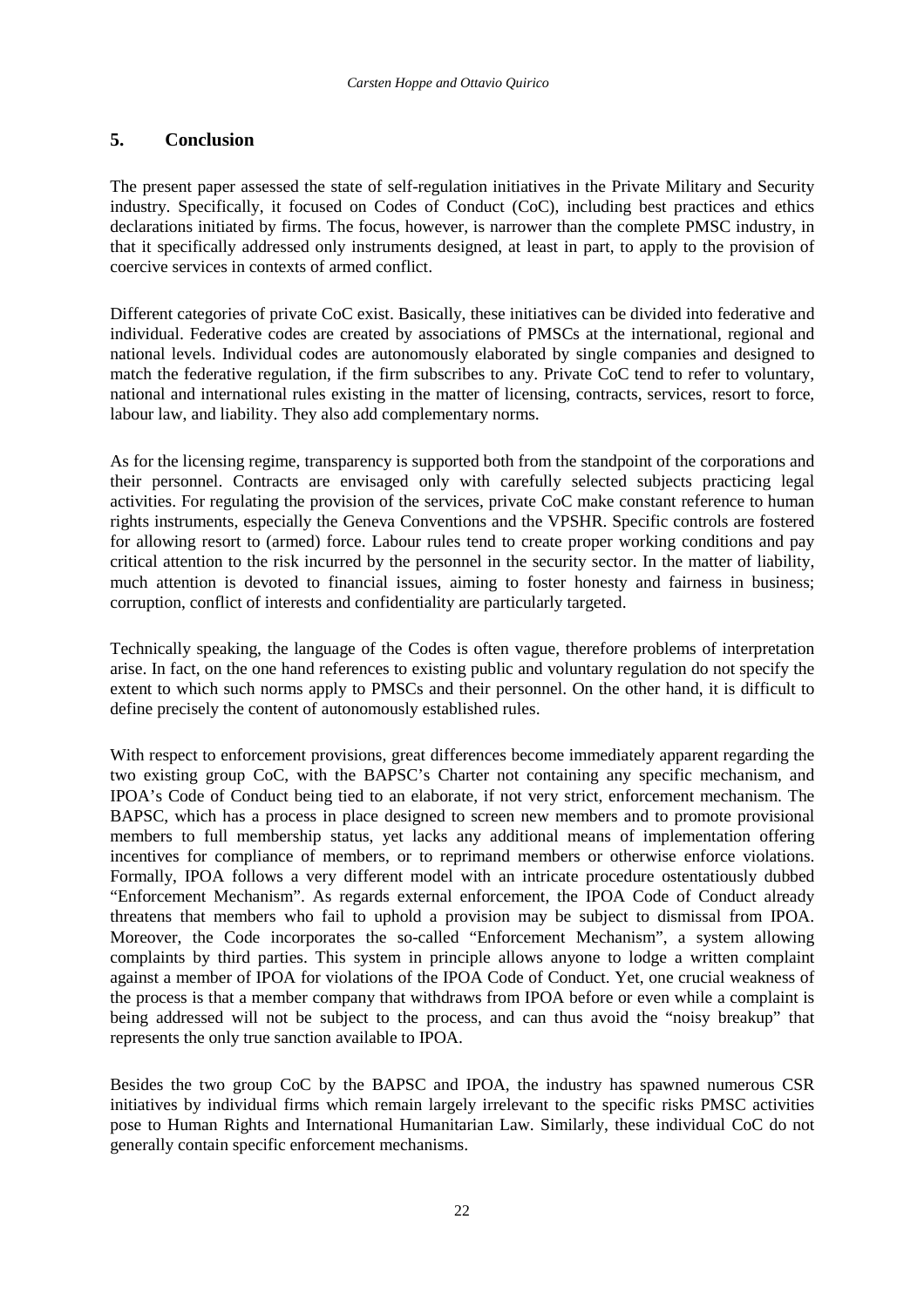### **5. Conclusion**

The present paper assessed the state of self-regulation initiatives in the Private Military and Security industry. Specifically, it focused on Codes of Conduct (CoC), including best practices and ethics declarations initiated by firms. The focus, however, is narrower than the complete PMSC industry, in that it specifically addressed only instruments designed, at least in part, to apply to the provision of coercive services in contexts of armed conflict.

Different categories of private CoC exist. Basically, these initiatives can be divided into federative and individual. Federative codes are created by associations of PMSCs at the international, regional and national levels. Individual codes are autonomously elaborated by single companies and designed to match the federative regulation, if the firm subscribes to any. Private CoC tend to refer to voluntary, national and international rules existing in the matter of licensing, contracts, services, resort to force, labour law, and liability. They also add complementary norms.

As for the licensing regime, transparency is supported both from the standpoint of the corporations and their personnel. Contracts are envisaged only with carefully selected subjects practicing legal activities. For regulating the provision of the services, private CoC make constant reference to human rights instruments, especially the Geneva Conventions and the VPSHR. Specific controls are fostered for allowing resort to (armed) force. Labour rules tend to create proper working conditions and pay critical attention to the risk incurred by the personnel in the security sector. In the matter of liability, much attention is devoted to financial issues, aiming to foster honesty and fairness in business; corruption, conflict of interests and confidentiality are particularly targeted.

Technically speaking, the language of the Codes is often vague, therefore problems of interpretation arise. In fact, on the one hand references to existing public and voluntary regulation do not specify the extent to which such norms apply to PMSCs and their personnel. On the other hand, it is difficult to define precisely the content of autonomously established rules.

With respect to enforcement provisions, great differences become immediately apparent regarding the two existing group CoC, with the BAPSC's Charter not containing any specific mechanism, and IPOA's Code of Conduct being tied to an elaborate, if not very strict, enforcement mechanism. The BAPSC, which has a process in place designed to screen new members and to promote provisional members to full membership status, yet lacks any additional means of implementation offering incentives for compliance of members, or to reprimand members or otherwise enforce violations. Formally, IPOA follows a very different model with an intricate procedure ostentatiously dubbed "Enforcement Mechanism". As regards external enforcement, the IPOA Code of Conduct already threatens that members who fail to uphold a provision may be subject to dismissal from IPOA. Moreover, the Code incorporates the so-called "Enforcement Mechanism", a system allowing complaints by third parties. This system in principle allows anyone to lodge a written complaint against a member of IPOA for violations of the IPOA Code of Conduct. Yet, one crucial weakness of the process is that a member company that withdraws from IPOA before or even while a complaint is being addressed will not be subject to the process, and can thus avoid the "noisy breakup" that represents the only true sanction available to IPOA.

Besides the two group CoC by the BAPSC and IPOA, the industry has spawned numerous CSR initiatives by individual firms which remain largely irrelevant to the specific risks PMSC activities pose to Human Rights and International Humanitarian Law. Similarly, these individual CoC do not generally contain specific enforcement mechanisms.